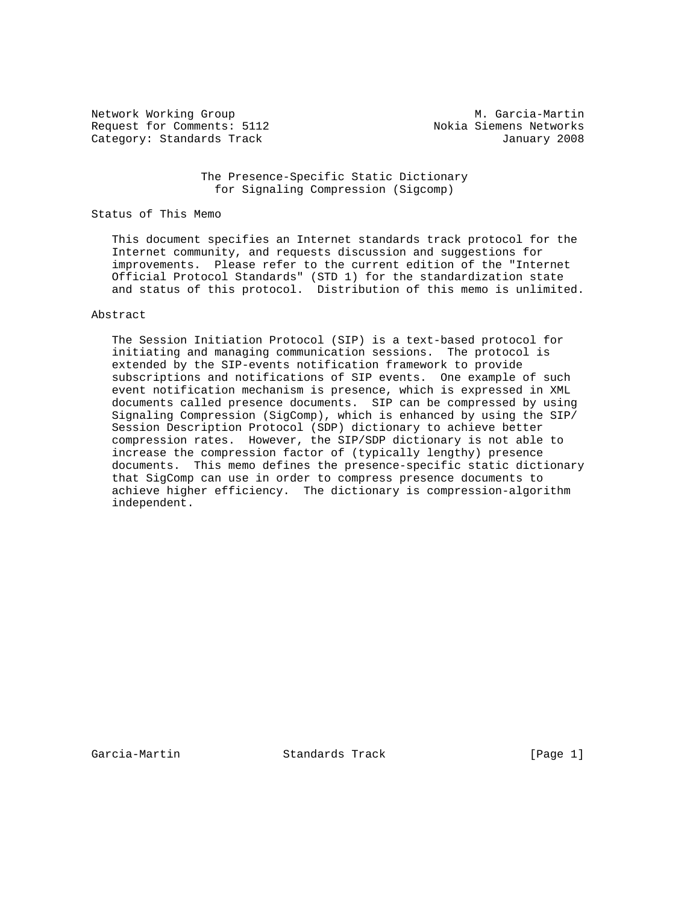Network Working Group M. Garcia-Martin Request for Comments: 5112 Nokia Siemens Networks Category: Standards Track January 2008

 The Presence-Specific Static Dictionary for Signaling Compression (Sigcomp)

## Status of This Memo

 This document specifies an Internet standards track protocol for the Internet community, and requests discussion and suggestions for improvements. Please refer to the current edition of the "Internet Official Protocol Standards" (STD 1) for the standardization state and status of this protocol. Distribution of this memo is unlimited.

## Abstract

 The Session Initiation Protocol (SIP) is a text-based protocol for initiating and managing communication sessions. The protocol is extended by the SIP-events notification framework to provide subscriptions and notifications of SIP events. One example of such event notification mechanism is presence, which is expressed in XML documents called presence documents. SIP can be compressed by using Signaling Compression (SigComp), which is enhanced by using the SIP/ Session Description Protocol (SDP) dictionary to achieve better compression rates. However, the SIP/SDP dictionary is not able to increase the compression factor of (typically lengthy) presence documents. This memo defines the presence-specific static dictionary that SigComp can use in order to compress presence documents to achieve higher efficiency. The dictionary is compression-algorithm independent.

Garcia-Martin Standards Track [Page 1]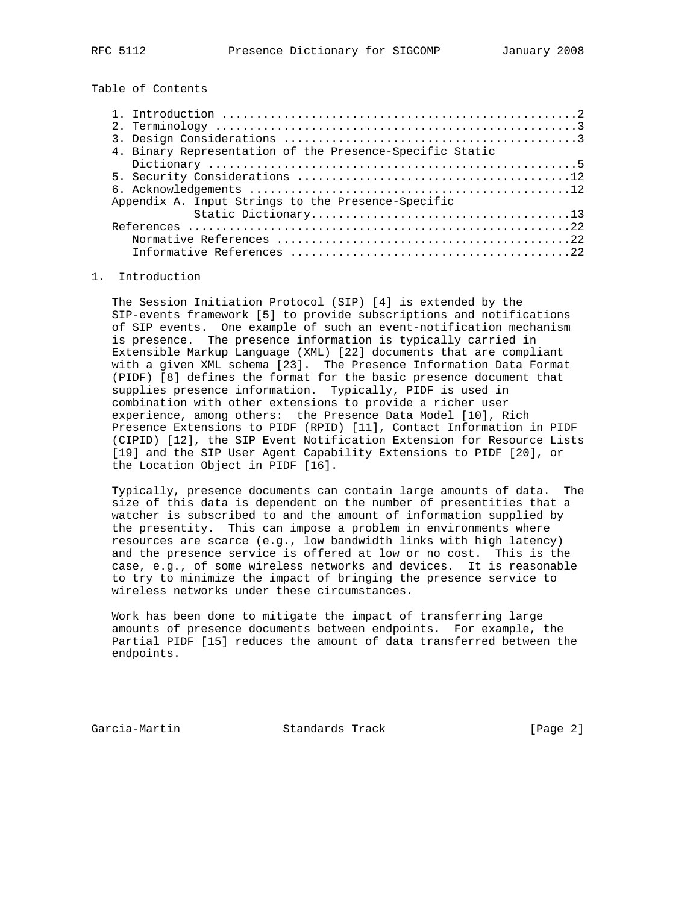Table of Contents

| 4. Binary Representation of the Presence-Specific Static |  |
|----------------------------------------------------------|--|
|                                                          |  |
|                                                          |  |
|                                                          |  |
| Appendix A. Input Strings to the Presence-Specific       |  |
|                                                          |  |
|                                                          |  |
|                                                          |  |
|                                                          |  |

## 1. Introduction

 The Session Initiation Protocol (SIP) [4] is extended by the SIP-events framework [5] to provide subscriptions and notifications of SIP events. One example of such an event-notification mechanism is presence. The presence information is typically carried in Extensible Markup Language (XML) [22] documents that are compliant with a given XML schema [23]. The Presence Information Data Format (PIDF) [8] defines the format for the basic presence document that supplies presence information. Typically, PIDF is used in combination with other extensions to provide a richer user experience, among others: the Presence Data Model [10], Rich Presence Extensions to PIDF (RPID) [11], Contact Information in PIDF (CIPID) [12], the SIP Event Notification Extension for Resource Lists [19] and the SIP User Agent Capability Extensions to PIDF [20], or the Location Object in PIDF [16].

 Typically, presence documents can contain large amounts of data. The size of this data is dependent on the number of presentities that a watcher is subscribed to and the amount of information supplied by the presentity. This can impose a problem in environments where resources are scarce (e.g., low bandwidth links with high latency) and the presence service is offered at low or no cost. This is the case, e.g., of some wireless networks and devices. It is reasonable to try to minimize the impact of bringing the presence service to wireless networks under these circumstances.

 Work has been done to mitigate the impact of transferring large amounts of presence documents between endpoints. For example, the Partial PIDF [15] reduces the amount of data transferred between the endpoints.

Garcia-Martin Standards Track [Page 2]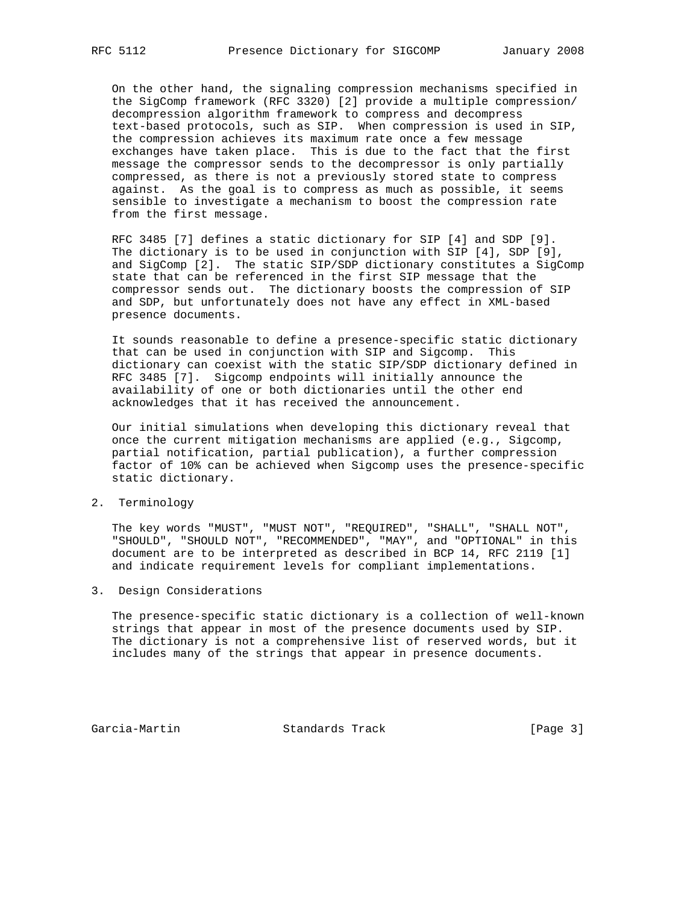On the other hand, the signaling compression mechanisms specified in the SigComp framework (RFC 3320) [2] provide a multiple compression/ decompression algorithm framework to compress and decompress text-based protocols, such as SIP. When compression is used in SIP, the compression achieves its maximum rate once a few message exchanges have taken place. This is due to the fact that the first message the compressor sends to the decompressor is only partially compressed, as there is not a previously stored state to compress against. As the goal is to compress as much as possible, it seems sensible to investigate a mechanism to boost the compression rate from the first message.

 RFC 3485 [7] defines a static dictionary for SIP [4] and SDP [9]. The dictionary is to be used in conjunction with SIP [4], SDP [9], and SigComp [2]. The static SIP/SDP dictionary constitutes a SigComp state that can be referenced in the first SIP message that the compressor sends out. The dictionary boosts the compression of SIP and SDP, but unfortunately does not have any effect in XML-based presence documents.

 It sounds reasonable to define a presence-specific static dictionary that can be used in conjunction with SIP and Sigcomp. This dictionary can coexist with the static SIP/SDP dictionary defined in RFC 3485 [7]. Sigcomp endpoints will initially announce the availability of one or both dictionaries until the other end acknowledges that it has received the announcement.

 Our initial simulations when developing this dictionary reveal that once the current mitigation mechanisms are applied (e.g., Sigcomp, partial notification, partial publication), a further compression factor of 10% can be achieved when Sigcomp uses the presence-specific static dictionary.

2. Terminology

 The key words "MUST", "MUST NOT", "REQUIRED", "SHALL", "SHALL NOT", "SHOULD", "SHOULD NOT", "RECOMMENDED", "MAY", and "OPTIONAL" in this document are to be interpreted as described in BCP 14, RFC 2119 [1] and indicate requirement levels for compliant implementations.

3. Design Considerations

 The presence-specific static dictionary is a collection of well-known strings that appear in most of the presence documents used by SIP. The dictionary is not a comprehensive list of reserved words, but it includes many of the strings that appear in presence documents.

Garcia-Martin Standards Track [Page 3]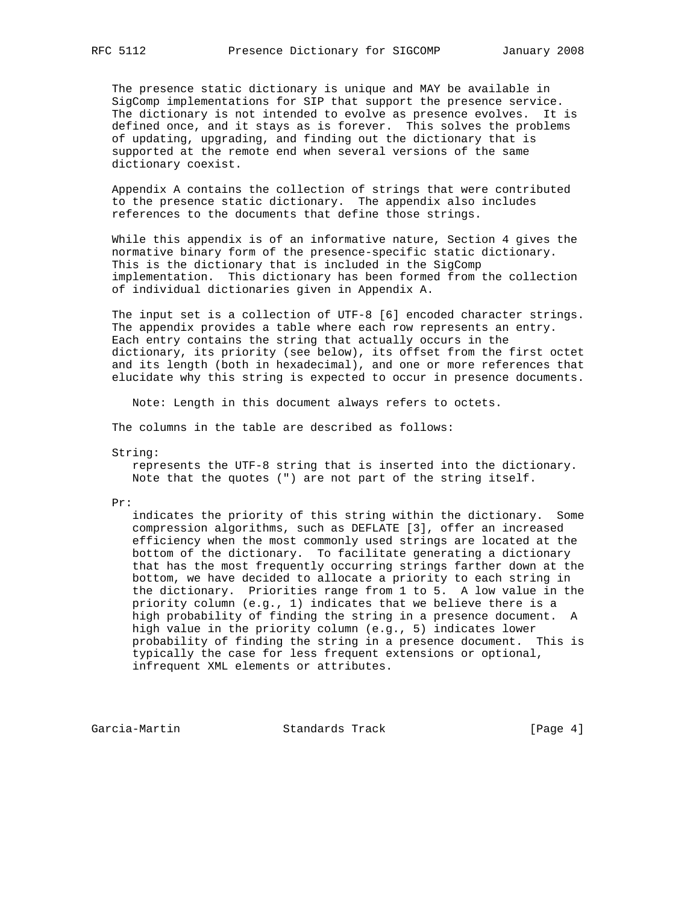The presence static dictionary is unique and MAY be available in SigComp implementations for SIP that support the presence service. The dictionary is not intended to evolve as presence evolves. It is defined once, and it stays as is forever. This solves the problems of updating, upgrading, and finding out the dictionary that is supported at the remote end when several versions of the same dictionary coexist.

 Appendix A contains the collection of strings that were contributed to the presence static dictionary. The appendix also includes references to the documents that define those strings.

 While this appendix is of an informative nature, Section 4 gives the normative binary form of the presence-specific static dictionary. This is the dictionary that is included in the SigComp implementation. This dictionary has been formed from the collection of individual dictionaries given in Appendix A.

 The input set is a collection of UTF-8 [6] encoded character strings. The appendix provides a table where each row represents an entry. Each entry contains the string that actually occurs in the dictionary, its priority (see below), its offset from the first octet and its length (both in hexadecimal), and one or more references that elucidate why this string is expected to occur in presence documents.

Note: Length in this document always refers to octets.

The columns in the table are described as follows:

String:

 represents the UTF-8 string that is inserted into the dictionary. Note that the quotes (") are not part of the string itself.

Pr:

 indicates the priority of this string within the dictionary. Some compression algorithms, such as DEFLATE [3], offer an increased efficiency when the most commonly used strings are located at the bottom of the dictionary. To facilitate generating a dictionary that has the most frequently occurring strings farther down at the bottom, we have decided to allocate a priority to each string in the dictionary. Priorities range from 1 to 5. A low value in the priority column (e.g., 1) indicates that we believe there is a high probability of finding the string in a presence document. A high value in the priority column (e.g., 5) indicates lower probability of finding the string in a presence document. This is typically the case for less frequent extensions or optional, infrequent XML elements or attributes.

Garcia-Martin Standards Track [Page 4]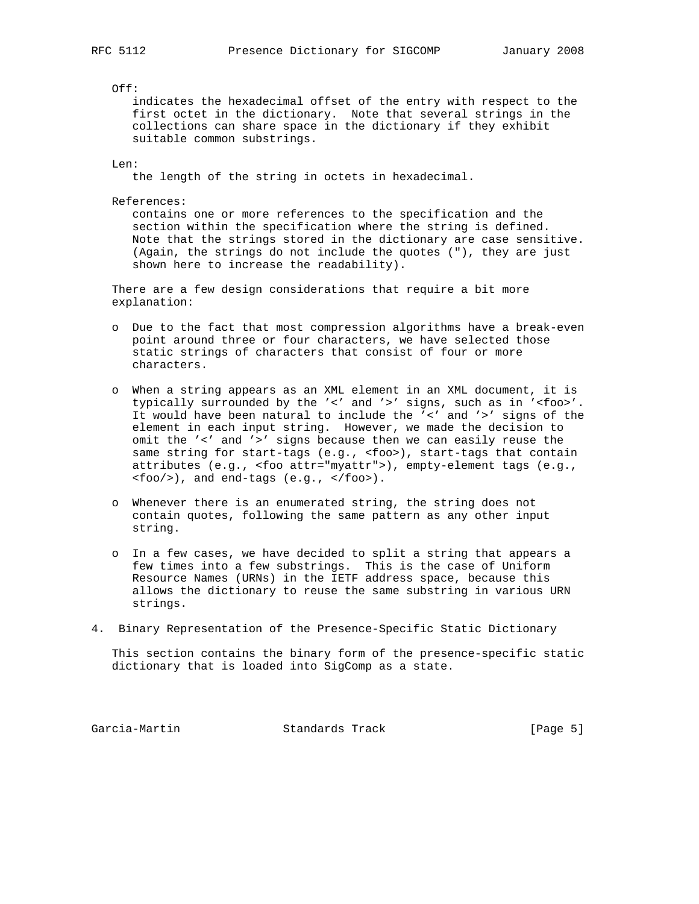$Off:$ 

 indicates the hexadecimal offset of the entry with respect to the first octet in the dictionary. Note that several strings in the collections can share space in the dictionary if they exhibit suitable common substrings.

Len:

the length of the string in octets in hexadecimal.

References:

 contains one or more references to the specification and the section within the specification where the string is defined. Note that the strings stored in the dictionary are case sensitive. (Again, the strings do not include the quotes ("), they are just shown here to increase the readability).

 There are a few design considerations that require a bit more explanation:

- o Due to the fact that most compression algorithms have a break-even point around three or four characters, we have selected those static strings of characters that consist of four or more characters.
- o When a string appears as an XML element in an XML document, it is typically surrounded by the '<' and '>' signs, such as in '<foo>'. It would have been natural to include the '<' and '>' signs of the element in each input string. However, we made the decision to omit the '<' and '>' signs because then we can easily reuse the same string for start-tags (e.g., <foo>), start-tags that contain attributes (e.g., <foo attr="myattr">), empty-element tags (e.g., <foo/>), and end-tags (e.g., </foo>).
- o Whenever there is an enumerated string, the string does not contain quotes, following the same pattern as any other input string.
- o In a few cases, we have decided to split a string that appears a few times into a few substrings. This is the case of Uniform Resource Names (URNs) in the IETF address space, because this allows the dictionary to reuse the same substring in various URN strings.
- 4. Binary Representation of the Presence-Specific Static Dictionary

 This section contains the binary form of the presence-specific static dictionary that is loaded into SigComp as a state.

Garcia-Martin Standards Track [Page 5]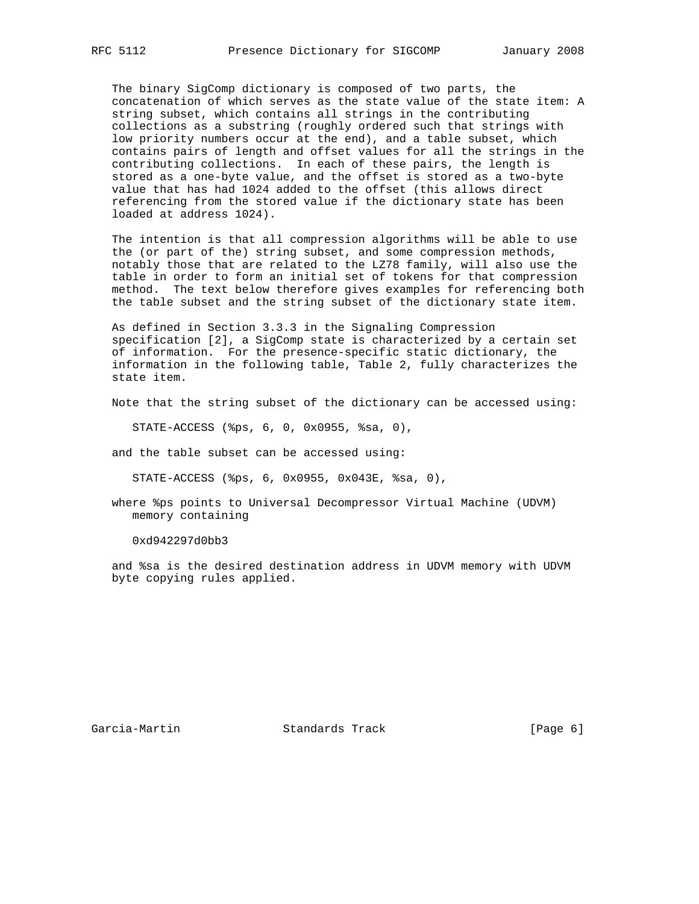The binary SigComp dictionary is composed of two parts, the concatenation of which serves as the state value of the state item: A string subset, which contains all strings in the contributing collections as a substring (roughly ordered such that strings with low priority numbers occur at the end), and a table subset, which contains pairs of length and offset values for all the strings in the contributing collections. In each of these pairs, the length is stored as a one-byte value, and the offset is stored as a two-byte value that has had 1024 added to the offset (this allows direct referencing from the stored value if the dictionary state has been loaded at address 1024).

 The intention is that all compression algorithms will be able to use the (or part of the) string subset, and some compression methods, notably those that are related to the LZ78 family, will also use the table in order to form an initial set of tokens for that compression method. The text below therefore gives examples for referencing both the table subset and the string subset of the dictionary state item.

 As defined in Section 3.3.3 in the Signaling Compression specification [2], a SigComp state is characterized by a certain set of information. For the presence-specific static dictionary, the information in the following table, Table 2, fully characterizes the state item.

Note that the string subset of the dictionary can be accessed using:

STATE-ACCESS (%ps, 6, 0, 0x0955, %sa, 0),

and the table subset can be accessed using:

STATE-ACCESS (%ps, 6, 0x0955, 0x043E, %sa, 0),

 where %ps points to Universal Decompressor Virtual Machine (UDVM) memory containing

0xd942297d0bb3

 and %sa is the desired destination address in UDVM memory with UDVM byte copying rules applied.

Garcia-Martin **Standards Track** [Page 6]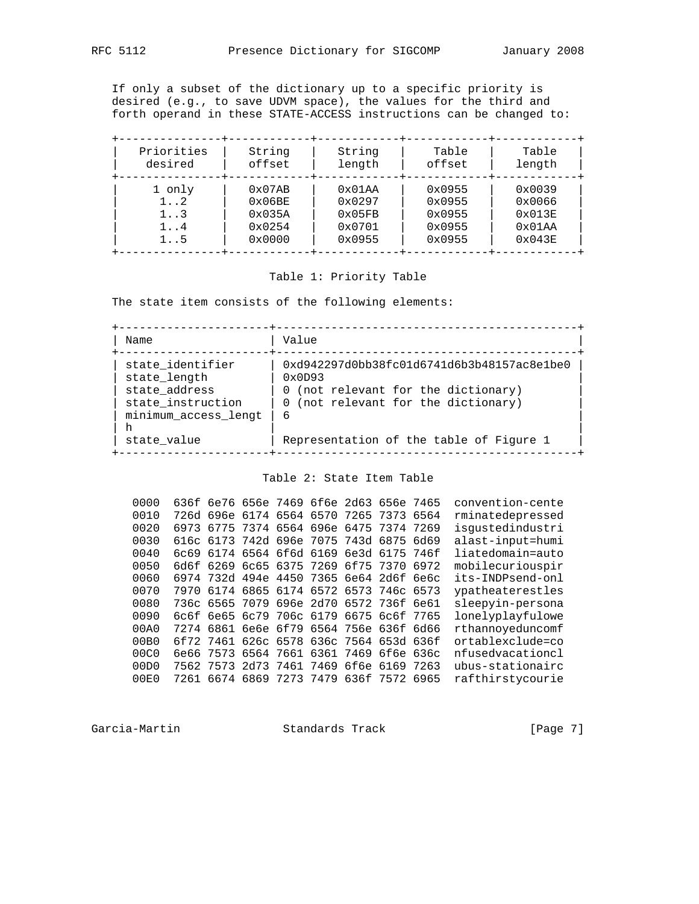If only a subset of the dictionary up to a specific priority is desired (e.g., to save UDVM space), the values for the third and forth operand in these STATE-ACCESS instructions can be changed to:

| Priorities   | String           | String          | Table  | Table           |
|--------------|------------------|-----------------|--------|-----------------|
| desired      | offset           | length          | offset | length          |
| 1 only       | $0 \times 07AB$  | 0x01AA          | 0x0955 | 0x0039          |
| $1 \ldots 2$ | $0 \times 06$ BE | 0x0297          | 0x0955 | 0x0066          |
| 1.3          | 0x035A           | 0x05FB          | 0x0955 | $0 \times 013E$ |
| $1 \ldots 4$ | $0 \times 0254$  | $0 \times 0701$ | 0x0955 | 0x01AA          |
| 15           | 0x0000           | 0x0955          | 0x0955 | 0x043E          |

## Table 1: Priority Table

The state item consists of the following elements:

 +----------------------+--------------------------------------------+ | Name | Value +----------------------+--------------------------------------------+ | state\_identifier | 0xd942297d0bb38fc01d6741d6b3b48157ac8e1be0 |  $\vert$  state\_length  $\vert$  0x0D93  $\vert$ | state\_address | 0 (not relevant for the dictionary) | | | state\_instruction | 0 (not relevant for the dictionary) | | minimum\_access\_lengt | 6 | | h | |  $|$  state\_value  $|$  Representation of the table of Figure 1 +----------------------+--------------------------------------------+

Table 2: State Item Table

 0000 636f 6e76 656e 7469 6f6e 2d63 656e 7465 convention-cente 0010 726d 696e 6174 6564 6570 7265 7373 6564 rminatedepressed 0020 6973 6775 7374 6564 696e 6475 7374 7269 isgustedindustri 0030 616c 6173 742d 696e 7075 743d 6875 6d69 alast-input=humi 0040 6c69 6174 6564 6f6d 6169 6e3d 6175 746f liatedomain=auto 0050 6d6f 6269 6c65 6375 7269 6f75 7370 6972 mobilecuriouspir 0060 6974 732d 494e 4450 7365 6e64 2d6f 6e6c its-INDPsend-onl 0070 7970 6174 6865 6174 6572 6573 746c 6573 ypatheaterestles 0080 736c 6565 7079 696e 2d70 6572 736f 6e61 sleepyin-persona 0090 6c6f 6e65 6c79 706c 6179 6675 6c6f 7765 lonelyplayfulowe 00A0 7274 6861 6e6e 6f79 6564 756e 636f 6d66 rthannoyeduncomf 00B0 6f72 7461 626c 6578 636c 7564 653d 636f ortablexclude=co 00C0 6e66 7573 6564 7661 6361 7469 6f6e 636c nfusedvacationcl 00D0 7562 7573 2d73 7461 7469 6f6e 6169 7263 ubus-stationairc 00E0 7261 6674 6869 7273 7479 636f 7572 6965 rafthirstycourie

Garcia-Martin **Standards Track** [Page 7]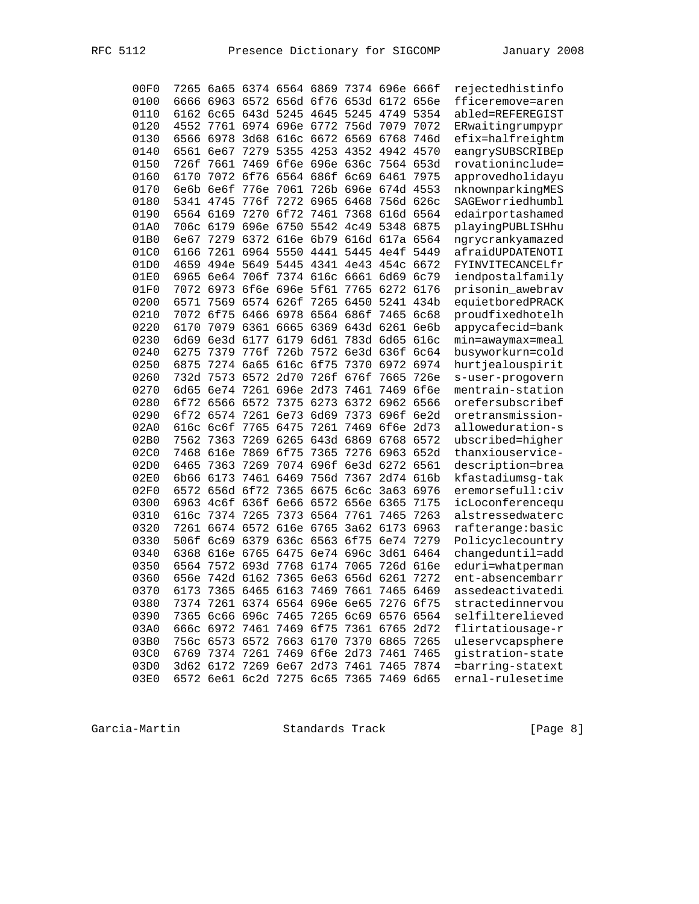| RFC |  |
|-----|--|
|     |  |

| 00F0         |           |                     |                | 7265 6a65 6374 6564 6869 7374 696e 666f |                   |                     |                |              | rejectedhistinfo                     |
|--------------|-----------|---------------------|----------------|-----------------------------------------|-------------------|---------------------|----------------|--------------|--------------------------------------|
| 0100         |           |                     |                | 6666 6963 6572 656d 6f76 653d 6172      |                   |                     |                | 656e         | fficeremove=aren                     |
| 0110         |           |                     |                | 6162 6c65 643d 5245 4645 5245           |                   |                     | 4749           | 5354         | abled=REFEREGIST                     |
| 0120         | 4552      |                     |                | 7761 6974 696e 6772                     |                   | 756d 7079           |                | 7072         | ERwaitingrumpypr                     |
| 0130         |           | 6566 6978           | 3d68           | 616c 6672 6569 6768                     |                   |                     |                | 746d         | efix=halfreightm                     |
| 0140         |           | 6561 6e67           |                | 7279 5355 4253 4352                     |                   |                     | 4942           | 4570         | eangrySUBSCRIBEp                     |
| 0150         | 726f      | 7661                | 7469           | 6f6e 696e 636c                          |                   |                     | 7564           | 653d         | rovationinclude=                     |
| 0160         | 6170      | 7072                | 6f76           | 6564 686f 6c69                          |                   |                     | 6461           | 7975         | approvedholidayu                     |
| 0170         | 6e6b 6e6f |                     | 776e           | 7061                                    | 726b 696e         |                     | 674d           | 4553         | nknownparkingMES                     |
| 0180         |           | 5341 4745           | 776f           | 7272 6965                               |                   | 6468                | 756d 626c      |              | SAGEworriedhumbl                     |
| 0190         |           |                     |                | 6564 6169 7270 6f72 7461                |                   |                     | 7368 616d 6564 |              | edairportashamed                     |
| 01A0         |           | 706c 6179 696e 6750 |                |                                         | 5542              | 4c49                | 5348           | 6875         | playingPUBLISHhu                     |
| 01B0         | 6e67      |                     |                | 7279 6372 616e 6b79                     |                   |                     | 616d 617a 6564 |              | ngrycrankyamazed                     |
| 01C0         | 6166      |                     | 7261 6964 5550 |                                         | 4441              | 5445                | 4e4f           | 5449         | afraidUPDATENOTI                     |
| 01D0         |           |                     |                | 4659 494e 5649 5445 4341 4e43           |                   |                     | 454c           | 6672         | FYINVITECANCELfr                     |
| 01E0         |           |                     |                | 6965 6e64 706f 7374 616c 6661           |                   |                     | 6d69           | 6c79         | iendpostalfamily                     |
| 01F0         |           |                     |                | 7072 6973 6f6e 696e 5f61                |                   | 7765                | 6272           | 6176         | prisonin_awebrav                     |
| 0200         |           |                     |                | 6571 7569 6574 626f 7265 6450           |                   |                     | 5241           | 434b         | equietboredPRACK                     |
| 0210         |           | 7072 6f75           | 6466 6978      |                                         | 6564 686f         |                     | 7465           | 6c68         | proudfixedhotelh                     |
| 0220         | 6170      |                     | 7079 6361 6665 |                                         | 6369              | 643d 6261           |                | 6e6b         |                                      |
| 0230         | 6d69      |                     | 6e3d 6177      | 6179                                    | 6d61              | 783d 6d65           |                | 616c         | appycafecid=bank                     |
| 0240         | 6275      | 7379                | 776f           | 726b                                    | 7572              | 6e3d 636f           |                |              | min=awaymax=meal<br>busyworkurn=cold |
| 0250         | 6875      |                     |                | 7274 6a65 616c 6f75                     |                   | 7370 6972           |                | 6c64<br>6974 |                                      |
|              |           |                     |                |                                         |                   |                     | 7665           |              | hurtjealouspirit                     |
| 0260         |           | 732d 7573 6572      |                | 2d70                                    | 726f 676f<br>2d73 |                     |                | 726e         | s-user-progovern                     |
| 0270<br>0280 | 6d65      |                     |                | 6e74 7261 696e                          |                   | 7461                | 7469           | 6f6e         | mentrain-station                     |
|              |           | 6f72 6566 6572      |                | 7375                                    | 6273              | 6372 6962           |                | 6566         | orefersubscribef                     |
| 0290         |           | 6f72 6574           | 7261 6e73      |                                         | 6d69              | 7373                | 696f           | 6e2d         | oretransmission-                     |
| 02A0         | 616c 6c6f |                     | 7765           | 6475                                    | 7261              | 7469                | 6f6e           | 2d73         | alloweduration-s                     |
| 02B0         |           | 7562 7363           |                | 7269 6265 643d 6869 6768                |                   |                     |                | 6572         | ubscribed=higher                     |
| 02C0         |           | 7468 616e           | 7869 6f75      |                                         | 7365              | 7276                | 6963           | 652d         | thanxiouservice-                     |
| 02D0         | 6465      | 7363                | 7269           |                                         |                   | 7074 696f 6e3d 6272 |                | 6561         | description=brea                     |
| 02E0         | 6b66      | 6173                | 7461           | 6469                                    | 756d 7367         |                     | 2d74           | 616b         | kfastadiumsg-tak                     |
| 02F0         | 6572      | 656d 6f72           |                | 7365                                    | 6675 6c6c         |                     | 3a63           | 6976         | eremorsefull:civ                     |
| 0300         | 6963      | 4c6f                | 636f           | <b>6e66</b>                             | 6572              | 656e                | 6365           | 7175         | icLoconferencequ                     |
| 0310         | 616c      |                     | 7374 7265      | 7373                                    | 6564              | 7761                | 7465           | 7263         | alstressedwaterc                     |
| 0320         | 7261      |                     | 6674 6572      | 616e 6765                               |                   | 3a62                | 6173           | 6963         | rafterange:basic                     |
| 0330         |           | 506f 6c69 6379      |                |                                         | 636c 6563 6f75    |                     | 6e74           | 7279         | Policyclecountry                     |
| 0340         | 6368      |                     |                | 616e 6765 6475 6e74 696c                |                   |                     | 3d61           | 6464         | changeduntil=add                     |
| 0350         | 6564      | 7572 693d           |                | 7768                                    | 6174 7065         |                     | 726d 616e      |              | eduri=whatperman                     |
| 0360         |           | 656e 742d 6162      |                | 7365 6e63 656d 6261                     |                   |                     |                | 7272         | ent-absencembarr                     |
| 0370         |           |                     |                | 6173 7365 6465 6163 7469 7661 7465 6469 |                   |                     |                |              | assedeactivatedi                     |
| 0380         |           |                     |                | 7374 7261 6374 6564 696e 6e65 7276 6f75 |                   |                     |                |              | stractedinnervou                     |
| 0390         |           |                     |                | 7365 6c66 696c 7465                     |                   | 7265 6c69           | 6576 6564      |              | selfilterelieved                     |
| 03A0         |           | 666c 6972 7461      |                | 7469                                    |                   | 6f75 7361           | 6765           | 2d72         | flirtatiousage-r                     |
| 03B0         |           | 756c 6573 6572      |                | 7663                                    | 6170              | 7370                | 6865           | 7265         | uleservcapsphere                     |
| 03C0         |           | 6769 7374 7261      |                | 7469 6f6e                               |                   | 2d73                | 7461           | 7465         | gistration-state                     |
| 03D0         |           |                     |                | 3d62 6172 7269 6e67 2d73                |                   | 7461                | 7465           | 7874         | =barring-statext                     |
| 03E0         |           |                     |                | 6572 6e61 6c2d 7275 6c65 7365           |                   |                     | 7469 6d65      |              | ernal-rulesetime                     |

[Page 8]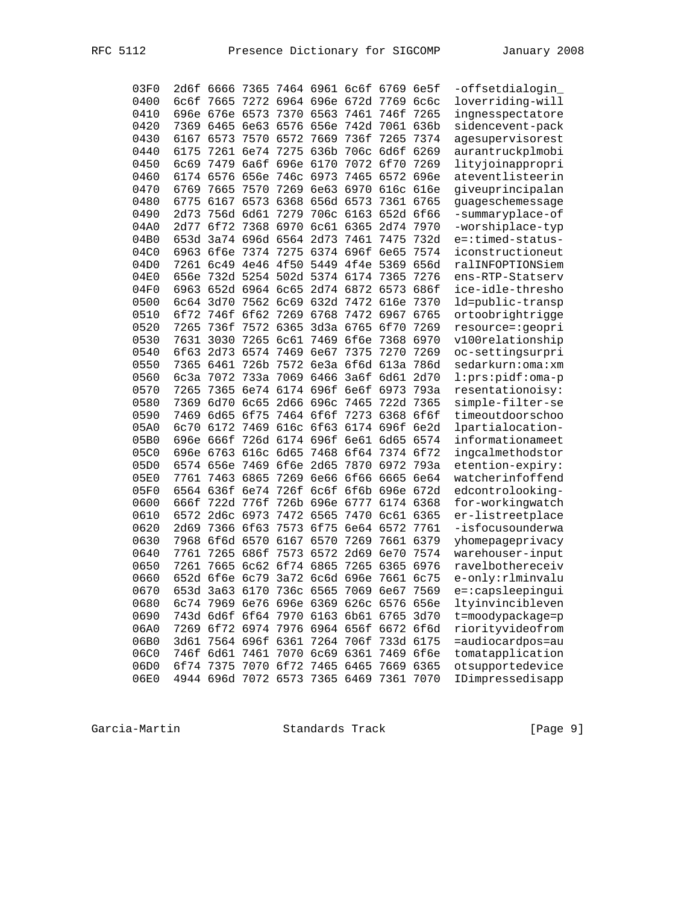| 03F0 | 2d6f        | 6666 |                     | 7365 7464 6961 6c6f 6769 6e5f           |                     |           |           |      | -offsetdialogin    |
|------|-------------|------|---------------------|-----------------------------------------|---------------------|-----------|-----------|------|--------------------|
| 0400 | 6c6f        | 7665 |                     | 7272 6964 696e 672d 7769                |                     |           |           | бсбс | loverriding-will   |
| 0410 | 696e        | 676e | 6573                |                                         | 7370 6563 7461      |           | 746f      | 7265 | ingnesspectatore   |
| 0420 | 7369        | 6465 |                     | 6e63 6576 656e                          |                     | 742d 7061 |           | 636b | sidencevent-pack   |
| 0430 | 6167        | 6573 | 7570                | 6572                                    | 7669                | 736f      | 7265      | 7374 | agesupervisorest   |
| 0440 | 6175        | 7261 | 6e74                | 7275                                    | 636b                | 706c      | 6d6f      | 6269 | aurantruckplmobi   |
| 0450 | <b>6c69</b> | 7479 | 6a6f                | 696e                                    | 6170                | 7072      | 6f70      | 7269 | lityjoinappropri   |
| 0460 | 6174        | 6576 | 656e                | 746c                                    | 6973                | 7465      | 6572      | 696e | ateventlisteerin   |
| 0470 | 6769        | 7665 | 7570                |                                         | 7269 6e63           | 6970      | 616c      | 616e | giveuprincipalan   |
| 0480 | 6775        | 6167 | 6573                |                                         | 6368 656d 6573      |           | 7361      | 6765 | guageschemessage   |
| 0490 | 2d73        | 756d | 6d61                | 7279                                    | 706c                | 6163      | 652d      | 6f66 | -summaryplace-of   |
| 04A0 | 2d77        | 6f72 | 7368                | 6970                                    | 6c61                | 6365      | 2d74      | 7970 | -worshiplace-typ   |
| 04B0 |             |      | 653d 3a74 696d 6564 |                                         | 2d73                | 7461      | 7475      | 732d | e=:timed-status-   |
| 04C0 | 6963        | 6f6e | 7374                |                                         | 7275 6374 696f 6e65 |           |           | 7574 | iconstructioneut   |
| 04D0 | 7261        |      | 6c49 4e46           |                                         | 4f50 5449 4f4e 5369 |           |           | 656d | ralINFOPTIONSiem   |
| 04E0 | 656e        |      | 732d 5254           |                                         | 502d 5374 6174      |           | 7365      | 7276 | ens-RTP-Statserv   |
| 04F0 | 6963        | 652d | 6964                | <b>6c65</b>                             |                     | 2d74 6872 | 6573      | 686f | ice-idle-thresho   |
| 0500 | 6c64        | 3d70 | 7562                | 6c69                                    | 632d                | 7472      | 616e      | 7370 | ld=public-transp   |
| 0510 | 6f72        | 746f | 6f62                | 7269                                    | 6768                | 7472      | 6967      | 6765 | ortoobrightrigge   |
| 0520 | 7265        | 736f | 7572                | 6365                                    | $3d$ 3a             | 6765      | 6f70      | 7269 | resource=:geopri   |
| 0530 | 7631        | 3030 | 7265                | 6c61                                    | 7469                | 6f6e      | 7368      | 6970 | v100relationship   |
| 0540 | 6f63        | 2d73 | 6574                | 7469                                    | 6e67                | 7375      | 7270      | 7269 | oc-settingsurpri   |
| 0550 | 7365        | 6461 | 726b                |                                         | 7572 6e3a           |           | 6f6d 613a | 786d | sedarkurn:oma:xm   |
| 0560 | 6c3a        | 7072 | 733a                |                                         | 7069 6466           |           | 3a6f 6d61 | 2d70 | $l:prs:pidf:oma-p$ |
| 0570 | 7265        | 7365 |                     | 6e74 6174 696f 6e6f                     |                     |           | 6973      | 793a | resentationoisy:   |
| 0580 | 7369        | 6d70 | 6c65                |                                         | 2d66 696c           | 7465      | 722d      | 7365 | simple-filter-se   |
| 0590 | 7469        | 6d65 | 6f75                |                                         | 7464 6f6f           | 7273      | 6368      | 6f6f | timeoutdoorschoo   |
| 05A0 | 6c70        | 6172 | 7469                |                                         | 616c 6f63           |           | 6174 696f | 6e2d | lpartialocation-   |
| 05B0 | 696e        | 666f |                     | 726d 6174 696f                          |                     | 6e61      | 6d65      | 6574 | informationameet   |
| 05C0 | 696e        | 6763 | 616c                | 6d65                                    | 7468                | 6f64      | 7374      | 6f72 | ingcalmethodstor   |
| 05D0 | 6574        | 656e | 7469                | 6f6e                                    | 2d65                | 7870      | 6972      | 793a | etention-expiry:   |
| 05E0 | 7761        | 7463 | 6865                |                                         | 7269 6e66           | 6f66      | 6665      | 6e64 | watcherinfoffend   |
| 05F0 | 6564        | 636f | 6e74                | 726f                                    | 6c6f                |           | 6f6b 696e | 672d | edcontrolooking-   |
| 0600 | 666f        | 722d | 776f                |                                         | 726b 696e 6777      |           | 6174      | 6368 | for-workingwatch   |
| 0610 | 6572        | 2d6c | 6973                |                                         | 7472 6565           | 7470      | 6c61      | 6365 | er-listreetplace   |
| 0620 | 2d69        | 7366 | 6f63                | 7573                                    | 6f75                | 6e64      | 6572      | 7761 | -isfocusounderwa   |
| 0630 | 7968        |      | 6f6d 6570           | 6167                                    | 6570                | 7269      | 7661      | 6379 | yhomepageprivacy   |
| 0640 | 7761        | 7265 | 686f                | 7573                                    | 6572                | 2d69      | 6e70      | 7574 | warehouser-input   |
| 0650 | 7261        | 7665 |                     | 6c62 6f74 6865                          |                     | 7265      | 6365      | 6976 | ravelbothereceiv   |
| 0660 |             |      |                     | 652d 6f6e 6c79 3a72 6c6d 696e 7661 6c75 |                     |           |           |      | e-only:rlminvalu   |
| 0670 |             |      |                     | 653d 3a63 6170 736c 6565 7069 6e67 7569 |                     |           |           |      | e=:capsleepingui   |
| 0680 |             |      |                     | 6c74 7969 6e76 696e 6369 626c 6576 656e |                     |           |           |      | ltyinvincibleven   |
| 0690 |             |      |                     | 743d 6d6f 6f64 7970 6163 6b61 6765 3d70 |                     |           |           |      | t=moodypackage=p   |
| 06A0 |             |      |                     | 7269 6f72 6974 7976 6964 656f 6672 6f6d |                     |           |           |      | riorityvideofrom   |
| 06B0 |             |      |                     | 3d61 7564 696f 6361 7264 706f 733d 6175 |                     |           |           |      | =audiocardpos=au   |
| 06C0 |             |      |                     | 746f 6d61 7461 7070 6c69 6361           |                     |           | 7469 6f6e |      | tomatapplication   |
| 06D0 | 6f74        | 7375 |                     | 7070 6f72 7465                          |                     | 6465      | 7669      | 6365 | otsupportedevice   |
| 06E0 |             |      |                     | 4944 696d 7072 6573 7365                |                     | 6469      | 7361      | 7070 | IDimpressedisapp   |

 $[Page 9]$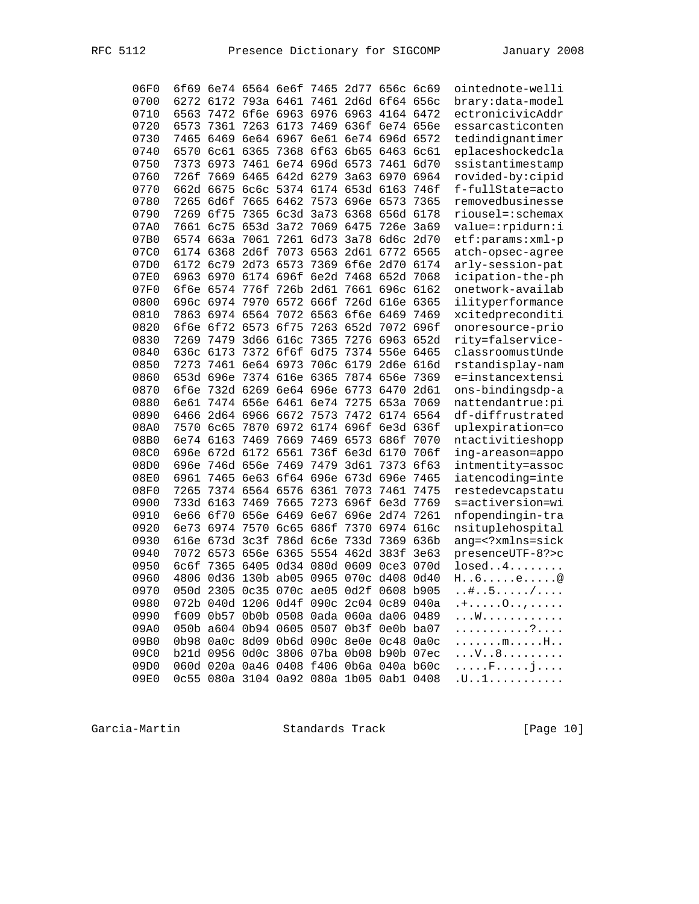| 06F0 |           |                     |           | 6f69 6e74 6564 6e6f 7465 2d77 656c 6c69 |                |                     |           |      | ointednote-welli                 |
|------|-----------|---------------------|-----------|-----------------------------------------|----------------|---------------------|-----------|------|----------------------------------|
| 0700 |           |                     |           | 6272 6172 793a 6461 7461 2d6d 6f64      |                |                     |           | 656c | brary:data-model                 |
| 0710 |           |                     |           | 6563 7472 6f6e 6963 6976 6963 4164 6472 |                |                     |           |      | ectronicivicAddr                 |
| 0720 | 6573      | 7361                | 7263      | 6173                                    | 7469 636f      |                     | 6e74 656e |      | essarcasticonten                 |
| 0730 | 7465      |                     |           | 6469 6e64 6967                          |                | 6e61 6e74 696d      |           | 6572 | tedindignantimer                 |
| 0740 | 6570      | 6c61 6365           |           | 7368                                    | 6f63           | 6b65                | 6463      | 6c61 | eplaceshockedcla                 |
| 0750 | 7373      | 6973                | 7461      |                                         | 6e74 696d 6573 |                     | 7461      | 6d70 | ssistantimestamp                 |
| 0760 | 726f      |                     |           | 7669 6465 642d 6279                     |                | 3a63                | 6970      | 6964 | rovided-by:cipid                 |
| 0770 |           |                     |           | 662d 6675 6c6c 5374 6174 653d 6163      |                |                     |           | 746f | f-fullState=acto                 |
| 0780 | 7265 6d6f |                     | 7665      |                                         |                | 6462 7573 696e 6573 |           | 7365 | removedbusinesse                 |
| 0790 |           | 7269 6f75           |           | 7365 6c3d 3a73 6368                     |                |                     | 656d 6178 |      | riousel=:schemax                 |
| 07A0 |           | 7661 6c75 653d 3a72 |           |                                         | 7069 6475      |                     | 726e      | 3a69 | value=:rpidurn:i                 |
| 07B0 |           | 6574 663a           | 7061      | 7261                                    | 6d73           | 3a78 6d6c           |           | 2d70 | etf:params:xml-p                 |
| 07C0 |           | 6174 6368           | 2d6f      | 7073                                    | 6563           |                     | 2d61 6772 | 6565 | atch-opsec-agree                 |
| 07D0 |           | 6172 6c79 2d73 6573 |           |                                         |                | 7369 6f6e 2d70      |           | 6174 | arly-session-pat                 |
| 07E0 |           |                     |           | 6963 6970 6174 696f 6e2d 7468 652d      |                |                     |           | 7068 | icipation-the-ph                 |
| 07F0 |           | 6f6e 6574           | 776f      | 726b 2d61                               |                | 7661 696c           |           | 6162 | onetwork-availab                 |
| 0800 |           | 696c 6974           | 7970      | 6572 666f                               |                |                     | 726d 616e | 6365 | ilityperformance                 |
| 0810 |           | 7863 6974 6564      |           | 7072 6563                               |                | 6f6e 6469           |           | 7469 | xcitedpreconditi                 |
| 0820 |           | 6f6e 6f72 6573      |           | 6f75                                    | 7263           | 652d 7072           |           | 696f | onoresource-prio                 |
| 0830 |           | 7269 7479 3d66 616c |           |                                         | 7365           | 7276 6963           |           | 652d | rity=falservice-                 |
| 0840 |           | 636c 6173           | 7372 6f6f |                                         | 6d75           |                     | 7374 556e | 6465 | classroomustUnde                 |
| 0850 | 7273      | 7461 6e64 6973      |           |                                         |                | 706c 6179           | 2d6e      | 616d | rstandisplay-nam                 |
| 0860 |           | 653d 696e           |           | 7374 616e 6365                          |                | 7874 656e           |           | 7369 | e=instancextensi                 |
| 0870 |           |                     |           | 6f6e 732d 6269 6e64 696e 6773           |                |                     | 6470      | 2d61 | ons-bindingsdp-a                 |
| 0880 |           |                     |           | 6e61 7474 656e 6461 6e74                |                | 7275                | 653a      | 7069 | nattendantrue:pi                 |
| 0890 | 6466      |                     |           | 2d64 6966 6672 7573                     |                | 7472                | 6174 6564 |      | df-diffrustrated                 |
| 08A0 |           | 7570 6c65 7870      |           | 6972                                    | 6174 696f      |                     | 6e3d 636f |      | uplexpiration=co                 |
| 08B0 |           | 6e74 6163           | 7469      |                                         | 7669 7469      | 6573                | 686f      | 7070 | ntactivitieshopp                 |
| 08C0 |           | 696e 672d 6172 6561 |           |                                         | 736f           | 6e3d 6170           |           | 706f | ing-areason=appo                 |
| 08D0 | 696e      | 746d 656e           |           | 7469                                    | 7479           | 3d61                | 7373      | 6f63 | intmentity=assoc                 |
| 08E0 | 6961      |                     |           | 7465 6e63 6f64 696e 673d 696e           |                |                     |           | 7465 | iatencoding=inte                 |
| 08F0 | 7265      |                     |           | 7374 6564 6576 6361                     |                | 7073                | 7461      | 7475 | restedevcapstatu                 |
| 0900 |           | 733d 6163           | 7469      | 7665                                    | 7273           | 696f                | 6e3d      | 7769 | s=activersion=wi                 |
| 0910 |           |                     |           | 6e66 6f70 656e 6469                     | 6e67 696e      |                     | 2d74      | 7261 | nfopendingin-tra                 |
| 0920 |           | 6e73 6974           | 7570 6c65 |                                         | 686f           | 7370                | 6974      | 616c | nsituplehospital                 |
| 0930 |           | 616e 673d 3c3f      |           | 786d 6c6e                               |                | 733d 7369           |           | 636b | ang= xmlns=sick</td              |
| 0940 |           |                     |           | 7072 6573 656e 6365 5554 462d 383f      |                |                     |           | 3e63 | presenceUTF-8?>c                 |
| 0950 | 6c6f      |                     |           | 7365 6405 0d34 080d 0609 0ce3           |                |                     |           | 070d | losed4                           |
| 0960 |           |                     |           | 4806 0d36 130b ab05 0965 070c d408      |                |                     |           | 0d40 | $H \ldots 6 \ldots .e \ldots .0$ |
| 0970 |           |                     |           |                                         |                |                     |           |      | $\# \ldots 5 \ldots \ldots$ ,    |
| 0980 |           |                     |           | 072b 040d 1206 0d4f 090c 2c04 0c89 040a |                |                     |           |      | . $+ \ldots 0 \ldots$ ,          |
| 0990 |           |                     |           | f609 0b57 0b0b 0508 0ada 060a da06 0489 |                |                     |           |      | . W                              |
| 09A0 |           |                     |           | 050b a604 0b94 0605 0507 0b3f 0e0b ba07 |                |                     |           |      | . ?                              |
| 09B0 |           |                     |           | 0b98 0a0c 8d09 0b6d 090c 8e0e 0c48 0a0c |                |                     |           |      | . m. H. .                        |
| 09C0 |           |                     |           | b21d 0956 0d0c 3806 07ba 0b08 b90b 07ec |                |                     |           |      | . V 8                            |
| 09D0 |           |                     |           | 060d 020a 0a46 0408 f406 0b6a 040a b60c |                |                     |           |      | . F j                            |
| 09E0 |           |                     |           | 0c55 080a 3104 0a92 080a 1b05 0ab1 0408 |                |                     |           |      | .u. .1.                          |

[Page 10]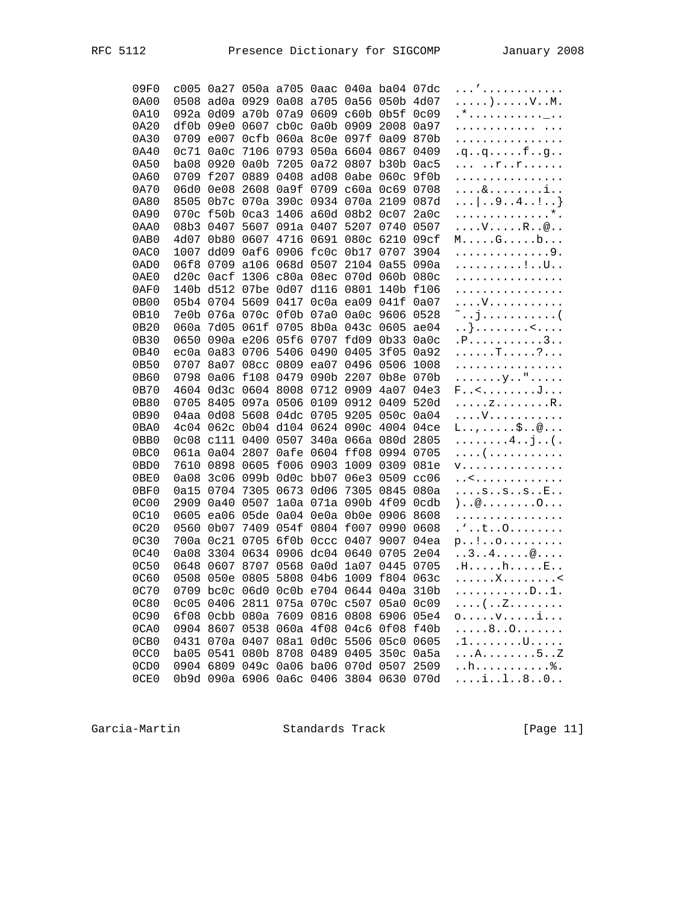| 09F0             |      |                          |           |                |                                    |      | c005 0a27 050a a705 0aac 040a ba04 07dc |                               | . <sup>,</sup>                                   |
|------------------|------|--------------------------|-----------|----------------|------------------------------------|------|-----------------------------------------|-------------------------------|--------------------------------------------------|
| 0A00             |      |                          |           |                | 0508 ad0a 0929 0a08 a705 0a56      |      | 050 <sub>b</sub>                        | 4d07                          |                                                  |
| 0A10             |      | 092a 0d09                |           | a70b 07a9      | 0609 c60b                          |      | 0b5f                                    | 0 <sub>c</sub> 0 <sub>9</sub> | .*. <u>.</u>                                     |
| 0A20             |      | df0b 09e0                |           |                | 0607 cb0c 0a0b 0909                |      | 2008                                    | 0a97                          | .                                                |
| 0A30             |      | 0709 e007                | 0cfb      |                | 060a 8c0e 097f                     |      | 0a09                                    | 870b                          | .                                                |
| 0A40             | 0c71 | 0a0c                     |           | 7106 0793      | 050a 6604                          |      | 0867                                    | 0409                          | $q. q. q. \ldots f. q.$                          |
| 0A50             | ba08 | 0920                     |           | 0a0b 7205      |                                    |      | 0a72 0807 b30b 0ac5                     |                               | $\ldots$ $\ldots$ $\ldots$ $\ldots$ $\ldots$     |
| 0A60             | 0709 | f207                     | 0889      |                | 0408 ad08 0abe 060c                |      |                                         | 9f0b                          | .                                                |
| 0A70             | 06d0 | 0e08                     |           |                | 2608 0a9f 0709 c60a 0c69           |      |                                         | 0708                          | . & i                                            |
| 0A80             | 8505 |                          |           |                | 0b7c 070a 390c 0934 070a 2109      |      |                                         | 087d                          | $\dots$ 9. . 4. . ! }                            |
| 0A90             |      |                          |           |                | 070c f50b 0ca3 1406 a60d 08b2 0c07 |      |                                         | 2a0c                          | . * .                                            |
| 0AA0             |      |                          |           |                | 08b3 0407 5607 091a 0407 5207      |      | 0740                                    |                               |                                                  |
|                  |      |                          |           |                |                                    |      |                                         | 0507                          | $\ldots$ . $V \ldots R \ldots \mathbb{R}$        |
| 0AB0             |      | 4d07 0b80                |           | 0607 4716 0691 |                                    | 080c | 6210                                    | 09cf                          | $M$ $G$ $b$                                      |
| 0AC0             |      | 1007 dd09                |           |                | 0af6 0906 fc0c 0b17 0707           |      |                                         | 3904                          | . 9 .                                            |
| 0AD0             | 06f8 | 0709                     |           | a106 068d 0507 |                                    | 2104 | 0a55                                    | 090a                          | . ! U                                            |
| 0AE0             | d20c | Oacf                     |           |                | 1306 c80a 08ec                     | 070d | 060b                                    | 080c                          | .                                                |
| 0AF0             |      | 140b d512 07be           |           | 0d07 d116      |                                    | 0801 | 140b                                    | f106                          | .                                                |
| 0B00             |      | 05b4 0704 5609           |           |                | 0417 Oc0a ea09                     |      | 041f                                    | 0a07                          | . V                                              |
| 0B10             |      | 7e0b 076a 070c           |           | 0f0b 07a0      |                                    | 0a0c | 9606                                    | 0528                          | ~j(                                              |
| 0B20             |      | 060a 7d05                |           |                | 061f 0705 8b0a 043c                |      | 0605                                    | ae04                          | . . } <                                          |
| 0B30             | 0650 |                          | 090a e206 |                | 05f6 0707                          | fd09 | 0 <sub>b33</sub>                        | 0a0c                          | . P. 3                                           |
| 0B40             |      | ec0a 0a83 0706 5406 0490 |           |                |                                    | 0405 | 3f05                                    | 0a92                          | . T ?                                            |
| 0B50             |      |                          |           |                | 0707 8a07 08cc 0809 ea07           | 0496 | 0506                                    | 1008                          | .                                                |
| 0B60             |      | 0798 0a06 f108 0479      |           |                | 090b                               | 2207 | 0b8e 070b                               |                               | . y "                                            |
| 0B70             |      | 4604 0d3c 0604 8008 0712 |           |                |                                    | 0909 | 4a07 04e3                               |                               | F <j< td=""></j<>                                |
| 0B80             |      | 0705 8405                |           |                | 097a 0506 0109                     | 0912 | 0409                                    | 520d                          | . <i>z</i> R .                                   |
| 0B90             |      | 04aa 0d08                | 5608      | 04dc           | 0705                               | 9205 | 050c                                    | 0a04                          | . V                                              |
| 0BA0             | 4c04 | 062c                     |           |                | 0b04 d104 0624                     | 090c | 4004                                    | 04ce                          | $L \ldots, \ldots, \xi \ldots \otimes \ldots$    |
| 0BB0             |      | 0c08 c111                | 0400 0507 |                | 340a                               | 066a | 080d 2805                               |                               | $\ldots \ldots \ldots 4 \ldots j \ldots ($ .     |
| 0BC0             |      | 061a 0a04 2807           |           |                | 0afe 0604 ff08                     |      | 0994                                    | 0705                          | . (                                              |
| 0BD <sub>0</sub> |      | 7610 0898                | 0605      | £006 0903      |                                    | 1009 | 0309                                    | 081e                          | <b>V.</b>                                        |
| 0BE0             | 0a08 |                          |           |                | 3c06 099b 0d0c bb07                | 06e3 | 0509                                    | cc06                          | . . <                                            |
| 0BF0             | 0a15 | 0704                     | 7305      |                | 0673 0d06                          | 7305 | 0845                                    | 080a                          | $\ldots$ . $s \ldots s \ldots s \ldots E \ldots$ |
| 0C00             | 2909 | 0a40                     | 0507      |                | 1a0a 071a 090b                     |      | 4f09                                    | 0cdb                          | ) @ 0                                            |
| 0C10             | 0605 | ea06 05de 0a04 0e0a      |           |                |                                    | 0b0e | 0906                                    | 8608                          | .                                                |
| 0C <sub>20</sub> | 0560 | 0b07                     |           |                | 7409 054f 0804 f007                |      | 0990                                    | 0608                          | $. \cdot t 0$                                    |
| 0C30             |      | 700a Oc21                |           |                | 0705 6f0b 0ccc 0407                |      | 9007                                    | 04ea                          |                                                  |
| 0C40             | 0a08 | 3304 0634                |           |                | 0906 dc04 0640                     |      | 0705                                    | 2e04                          | $p!$<br>34@                                      |
|                  |      |                          | 8707      |                |                                    |      |                                         |                               |                                                  |
| 0C50             | 0648 | 0607                     |           | 0568           | 0a0d 1a07                          |      | 0445                                    | 0705                          | .H. h. E. .                                      |
| <b>0C60</b>      | 0508 | 050e                     | 0805      | 5808           | 04b6                               | 1009 | f804                                    | 063c                          | . X <                                            |
| 0C70             |      | 0709 bc0c                | 06d0      |                | 0c0b e704 0644                     |      | 040a                                    | 310b                          | .D. . 1 .                                        |
| 0C80             |      |                          |           |                |                                    |      | 0c05 0406 2811 075a 070c c507 05a0 0c09 |                               | . ( Z                                            |
| 0C90             |      |                          |           |                | 6f08 0cbb 080a 7609 0816 0808 6906 |      |                                         | 05e4                          | $\circ \ldots \circ \circ \ldots \circ \dots$    |
| 0CA0             |      |                          |           |                |                                    |      | 0904 8607 0538 060a 4f08 04c6 0f08      | f40b                          | . 8 0                                            |
| 0CB <sub>0</sub> |      | 0431 070a 0407           |           |                | 08a1 0d0c 5506                     |      | 05c0                                    | 0605                          | .1. U.                                           |
| 0CC0             |      |                          |           |                | ba05 0541 080b 8708 0489 0405      |      | 350c                                    | 0a5a                          | . A 5 Z                                          |
| 0CD0             |      |                          |           |                |                                    |      | 0904 6809 049c 0a06 ba06 070d 0507 2509 |                               | . .h. <i>%</i> .                                 |
| 0CE0             |      |                          |           |                |                                    |      | 0b9d 090a 6906 0a6c 0406 3804 0630 070d |                               | i180                                             |

[Page 11]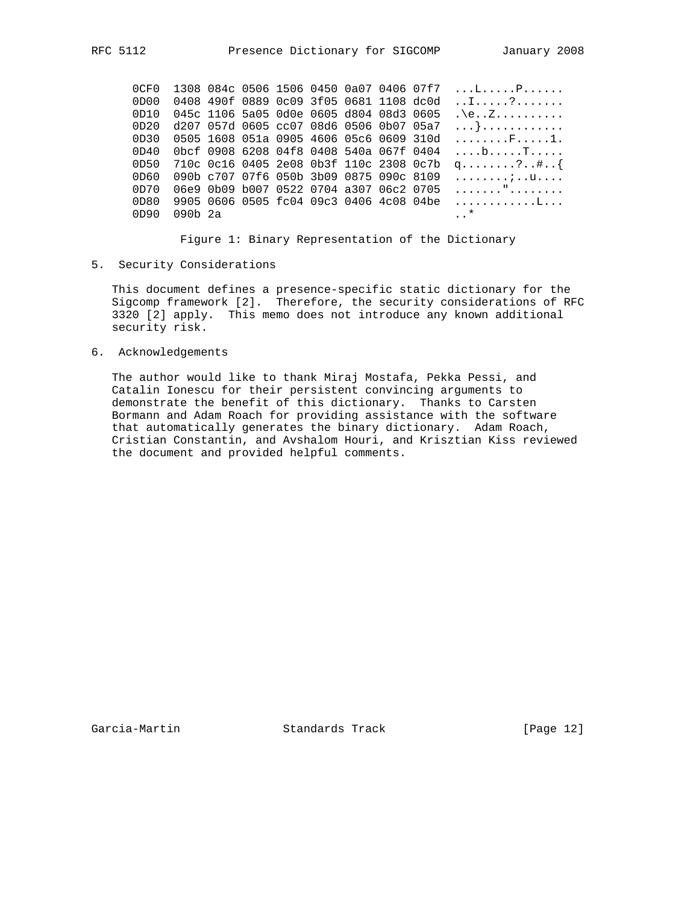0CF0 1308 084c 0506 1506 0450 0a07 0406 07f7 ...L.....P...... 0D00 0408 490f 0889 0c09 3f05 0681 1108 dc0d .......?....... 0D10 045c 1106 5a05 0d0e 0605 d804 08d3 0605 .\e..Z.......... 0D20 d207 057d 0605 cc07 08d6 0506 0b07 05a7 ...}............ 0D30 0505 1608 051a 0905 4606 05c6 0609 310d ........F.....1. 0D40 0bcf 0908 6208 04f8 0408 540a 067f 0404 ....b.....T..... 0D50 710c 0c16 0405 2e08 0b3f 110c 2308 0c7b q........?..#..{ 0D60 090b c707 07f6 050b 3b09 0875 090c 8109 ........;..u.... 0D70 06e9 0b09 b007 0522 0704 a307 06c2 0705 ......."........ 0D80 9905 0606 0505 fc04 09c3 0406 4c08 04be ............L... 0D90 090b 2a ...\*

Figure 1: Binary Representation of the Dictionary

5. Security Considerations

 This document defines a presence-specific static dictionary for the Sigcomp framework [2]. Therefore, the security considerations of RFC 3320 [2] apply. This memo does not introduce any known additional security risk.

6. Acknowledgements

 The author would like to thank Miraj Mostafa, Pekka Pessi, and Catalin Ionescu for their persistent convincing arguments to demonstrate the benefit of this dictionary. Thanks to Carsten Bormann and Adam Roach for providing assistance with the software that automatically generates the binary dictionary. Adam Roach, Cristian Constantin, and Avshalom Houri, and Krisztian Kiss reviewed the document and provided helpful comments.

Garcia-Martin **Standards Track** [Page 12]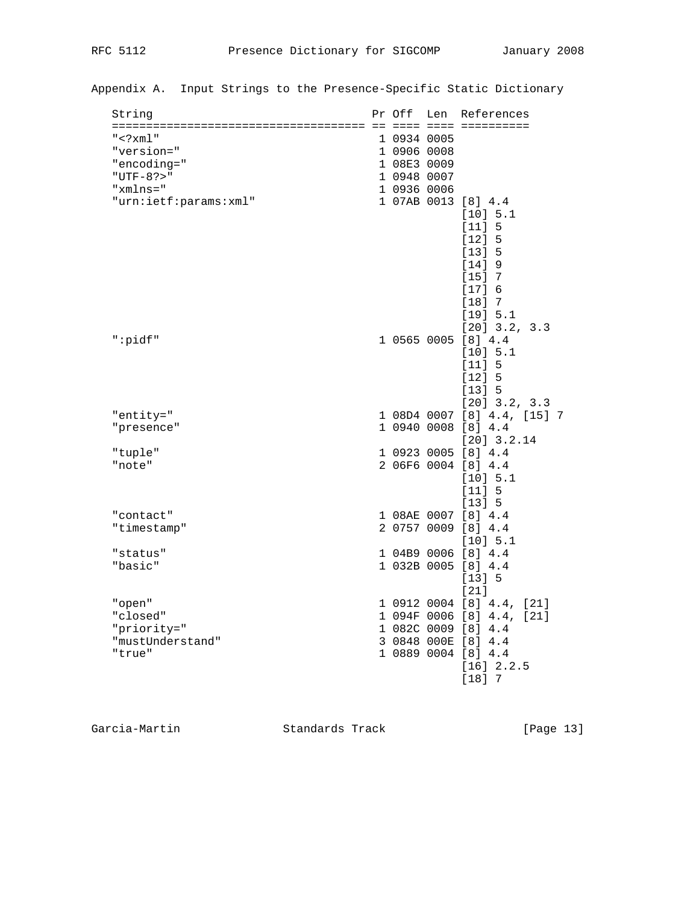| String                | Pr Off      | Len | References                                                                               |
|-----------------------|-------------|-----|------------------------------------------------------------------------------------------|
| $"$ <math xml"        | 1 0934 0005 |     | do dose dose docedoseco                                                                  |
| "version="            | 1 0906 0008 |     |                                                                                          |
| "encoding="           | 1 08E3 0009 |     |                                                                                          |
| "UTF-8? $>$ "         | 1 0948 0007 |     |                                                                                          |
| "xmlns="              | 1 0936 0006 |     |                                                                                          |
| "urn:ietf:params:xml" |             |     | 1 07AB 0013 [8] 4.4<br>[10] 5.1<br>[11] 5<br>[12] 5<br>[13] 5<br>$[14]$ 9<br>$[15]$ 7    |
| ":pidf"               |             |     | [17] 6<br>$[18]$ 7<br>[19] 5.1<br>$[20]$ 3.2, 3.3<br>1 0565 0005 [8] 4.4                 |
| "entity="             |             |     | [10] 5.1<br>[11] 5<br>[12] 5<br>[13] 5<br>$[20]$ 3.2, 3.3<br>1 08D4 0007 [8] 4.4, [15] 7 |
| "presence"            |             |     | 1 0940 0008 [8] 4.4                                                                      |
|                       |             |     | $[20]$ 3.2.14                                                                            |
| "tuple"               |             |     | 1 0923 0005 [8] 4.4                                                                      |
| "note"                |             |     | 2 06F6 0004 [8] 4.4<br>[10] 5.1<br>[11] 5<br>[13] 5                                      |
| "contact"             |             |     | 1 08AE 0007 [8] 4.4                                                                      |
| "timestamp"           |             |     | 2 0757 0009 [8] 4.4<br>[10] 5.1                                                          |
| "status"              |             |     | 1 04B9 0006 [8] 4.4                                                                      |
| "basic"               |             |     | 1 032B 0005 [8] 4.4<br>[13] 5<br>$[21]$                                                  |
| "open"                |             |     | 1 0912 0004 [8] 4.4, [21]                                                                |
| "closed"              |             |     | 1 094F 0006 [8] 4.4, [21]                                                                |
| "priority="           |             |     | 1 082C 0009 [8] 4.4                                                                      |
| "mustUnderstand"      |             |     | 3 0848 000E [8] 4.4                                                                      |
| "true"                |             |     | 1 0889 0004 [8] 4.4<br>[16] 2.2.5<br>$[18]$ 7                                            |

Appendix A. Input Strings to the Presence-Specific Static Dictionary

Garcia-Martin Standards Track [Page 13]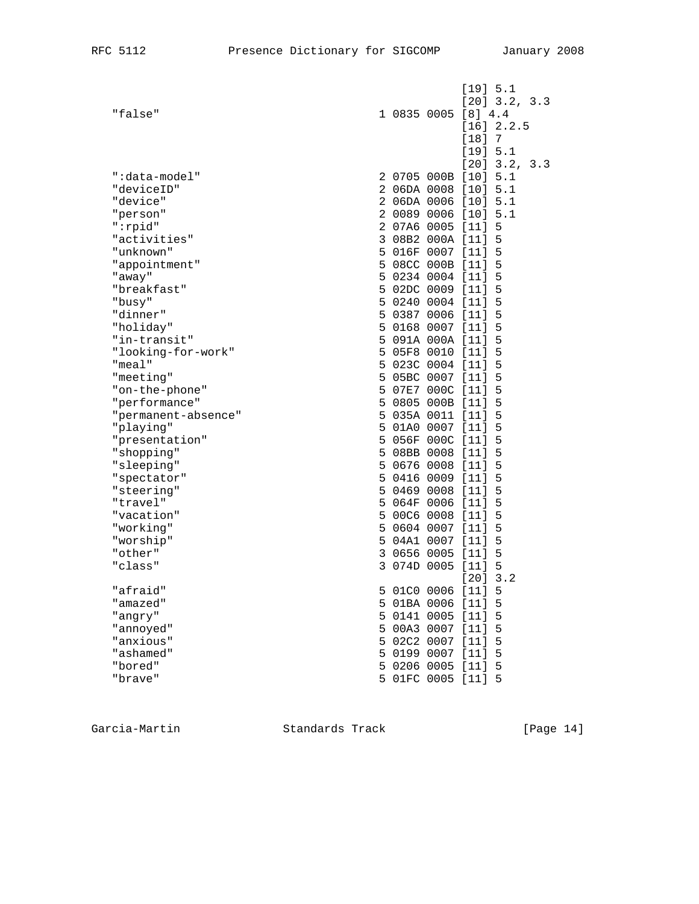|                             |   |             |                      | [19] 5.1        |   |  |  |
|-----------------------------|---|-------------|----------------------|-----------------|---|--|--|
|                             |   |             |                      | $[20]$ 3.2, 3.3 |   |  |  |
| "false"                     |   |             | 1 0835 0005 [8] 4.4  |                 |   |  |  |
|                             |   |             |                      | [16] 2.2.5      |   |  |  |
|                             |   |             |                      | $[18]$ 7        |   |  |  |
|                             |   |             |                      | [19] 5.1        |   |  |  |
|                             |   |             | 2 0705 000B [10] 5.1 | $[20]$ 3.2, 3.3 |   |  |  |
| ":data-model"<br>"deviceID" |   |             | 2 06DA 0008 [10] 5.1 |                 |   |  |  |
| "device"                    |   |             | 2 06DA 0006 [10] 5.1 |                 |   |  |  |
| "person"                    |   |             | 2 0089 0006 [10] 5.1 |                 |   |  |  |
| $" :$ rpid"                 |   |             | 2 07A6 0005 [11] 5   |                 |   |  |  |
| "activities"                |   |             | 3 08B2 000A [11] 5   |                 |   |  |  |
| "unknown"                   |   |             | 5 016F 0007 [11] 5   |                 |   |  |  |
| "appointment"               |   |             | 5 08CC 000B [11]     |                 | 5 |  |  |
| "away"                      |   |             | 5 0234 0004 [11] 5   |                 |   |  |  |
| "breakfast"                 |   |             | 5 02DC 0009 [11] 5   |                 |   |  |  |
| "busy"                      |   |             | 5 0240 0004 [11]     |                 | 5 |  |  |
| "dinner"                    |   |             | 5 0387 0006 [11] 5   |                 |   |  |  |
| "holiday"                   |   |             | 5 0168 0007 [11]     |                 | 5 |  |  |
| "in-transit"                |   |             | 5 091A 000A [11]     |                 | 5 |  |  |
| "looking-for-work"          |   |             | 5 05F8 0010 [11] 5   |                 |   |  |  |
| "meal"                      |   |             | 5 023C 0004 [11] 5   |                 |   |  |  |
| "meeting"                   |   |             | 5 05BC 0007 [11]     |                 | 5 |  |  |
| "on-the-phone"              |   |             | 5 07E7 000C [11] 5   |                 |   |  |  |
| "performance"               |   |             | 5 0805 000B [11]     |                 | 5 |  |  |
| "permanent-absence"         |   |             | 5 035A 0011 [11]     |                 | 5 |  |  |
| "playing"                   |   |             | 5 01A0 0007 [11] 5   |                 |   |  |  |
| "presentation"              |   |             | 5 056F 000C [11] 5   |                 |   |  |  |
| "shopping"                  |   |             | 5 08BB 0008 [11]     |                 | 5 |  |  |
| "sleeping"                  |   |             | 5 0676 0008 [11] 5   |                 |   |  |  |
| "spectator"                 |   |             | 5 0416 0009 [11]     |                 | 5 |  |  |
| "steering"                  |   |             | 5 0469 0008 [11]     |                 | 5 |  |  |
| "travel"                    |   |             | 5 064F 0006 [11]     |                 | 5 |  |  |
| "vacation"                  |   |             | 5 00C6 0008 [11]     |                 | 5 |  |  |
| "working"                   |   |             | 5 0604 0007 [11]     |                 | 5 |  |  |
| "worship"                   |   |             | 5 04A1 0007 [11] 5   |                 |   |  |  |
| "other"                     |   | 3 0656 0005 |                      | $[11]$ 5        |   |  |  |
| "class"                     |   | 3 074D 0005 |                      | $[11]$ 5        |   |  |  |
|                             |   |             |                      | $[20]$ 3.2      |   |  |  |
| "afraid"                    |   |             | 5 01C0 0006 [11]     |                 | 5 |  |  |
| "amazed"                    |   |             | 5 01BA 0006 [11]     |                 | 5 |  |  |
| "angry"                     |   | 5 0141 0005 |                      | $[11]$          | 5 |  |  |
| "annoyed"                   |   | 5 00A3 0007 |                      | $[11]$          | 5 |  |  |
| "anxious"                   |   | 5 02C2 0007 |                      | $[11]$          | 5 |  |  |
| "ashamed"                   | 5 | 0199 0007   |                      | $[11]$          | 5 |  |  |
| "bored"                     |   | 5 0206 0005 |                      | [11] 5          |   |  |  |
| "brave"                     |   | 5 01FC 0005 |                      | [11] 5          |   |  |  |

Garcia-Martin Standards Track [Page 14]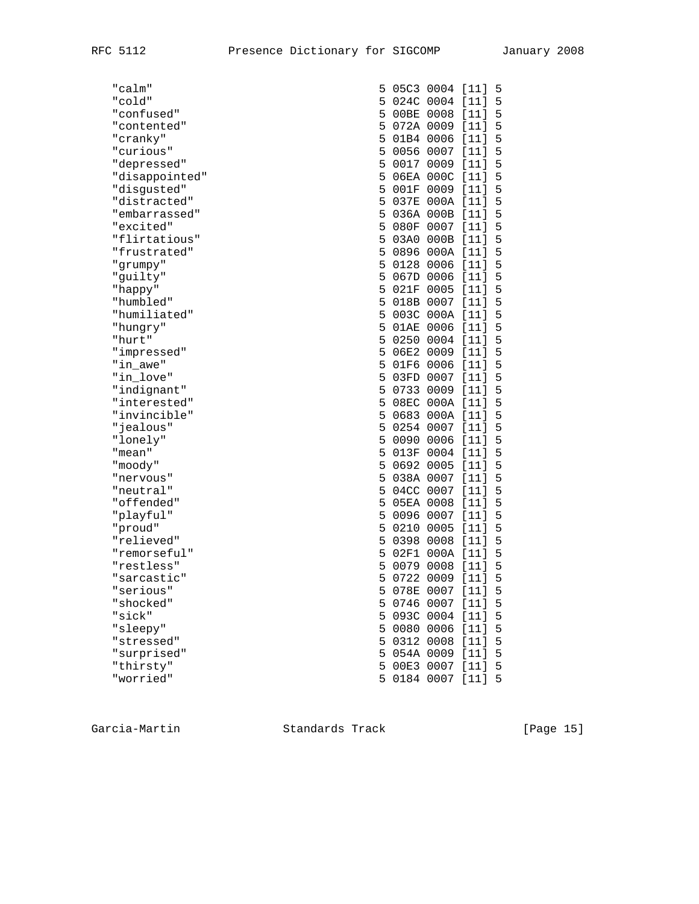| "calm"         | 5. |             | 05C3 0004 [11] 5   |        |   |
|----------------|----|-------------|--------------------|--------|---|
| "cold"         | 5  |             | 024C 0004          | [11] 5 |   |
| "confused"     | 5  |             | 00BE 0008          | [11] 5 |   |
| "contented"    | 5  |             | 072A 0009 [11] 5   |        |   |
| "cranky"       |    |             | 5 01B4 0006 [11] 5 |        |   |
| "curious"      |    |             | 5 0056 0007 [11] 5 |        |   |
| "depressed"    | 5  |             | 0017 0009 [11]     |        | 5 |
| "disappointed" | 5  |             | 06EA 000C [11] 5   |        |   |
| "disgusted"    | 5  |             | 001F 0009 [11] 5   |        |   |
| "distracted"   |    |             | 5 037E 000A [11] 5 |        |   |
| "embarrassed"  |    |             | 5 036A 000B [11] 5 |        |   |
| "excited"      |    |             | 5 080F 0007 [11] 5 |        |   |
| "flirtatious"  |    |             | 5 03A0 000B [11]   |        | 5 |
| "frustrated"   | 5  |             | 0896 000A [11] 5   |        |   |
| "grumpy"       | 5  |             | 0128 0006 [11]     |        | 5 |
| "guilty"       | 5  |             | 067D 0006 [11] 5   |        |   |
| "happy"        |    |             | 5 021F 0005 [11] 5 |        |   |
| "humbled"      |    |             | 5 018B 0007 [11] 5 |        |   |
| "humiliated"   |    |             | 5 003C 000A [11] 5 |        |   |
| "hungry"       | 5  |             | 01AE 0006 [11] 5   |        |   |
| "hurt"         | 5  |             | 0250 0004 [11] 5   |        |   |
| "impressed"    |    |             | 5 06E2 0009 [11] 5 |        |   |
| "in_awe"       |    |             | 5 01F6 0006 [11] 5 |        |   |
| "in_love"      |    |             | 5 03FD 0007 [11] 5 |        |   |
| "indignant"    |    |             | 5 0733 0009 [11]   |        | 5 |
| "interested"   | 5  |             | 08EC 000A [11] 5   |        |   |
| "invincible"   | 5  |             | 0683 000A [11] 5   |        |   |
| "jealous"      |    |             | 5 0254 0007 [11] 5 |        |   |
| "lonely"       |    |             | 5 0090 0006 [11] 5 |        |   |
| "mean"         |    |             | 5 013F 0004 [11] 5 |        |   |
| "moody"        |    |             | 5 0692 0005 [11] 5 |        |   |
| "nervous"      | 5  |             | 038A 0007 [11] 5   |        |   |
| "neutral"      | 5  |             | 04CC 0007 [11]     |        | 5 |
| "offended"     |    |             | 5 05EA 0008 [11] 5 |        |   |
| "playful"      |    |             | 5 0096 0007 [11] 5 |        |   |
| "proud"        |    |             | 5 0210 0005 [11]   |        | 5 |
| "relieved"     | 5  |             | 0398 0008 [11]     |        | 5 |
| "remorseful"   | 5  |             | 02F1 000A [11] 5   |        |   |
| "restless"     | 5  |             | 0079 0008          | $[11]$ | 5 |
| "sarcastic"    | 5  |             | 0722 0009 [11]     |        | 5 |
| "serious"      | 5  |             | 078E 0007          | $[11]$ | 5 |
| "shocked"      | 5. |             | 0746 0007 [11]     |        | 5 |
| "sick"         |    | 5 093C 0004 |                    | [11]   | 5 |
| "sleepy"       | 5  | 0080 0006   |                    | $[11]$ | 5 |
| "stressed"     | 5  |             | 0312 0008          | $[11]$ | 5 |
| "surprised"    |    |             | 5 054A 0009        | $[11]$ | 5 |
| "thirsty"      |    |             | 5 00E3 0007        | $[11]$ | 5 |
| "worried"      |    |             | 5 0184 0007 [11]   |        | 5 |

Garcia-Martin Standards Track [Page 15]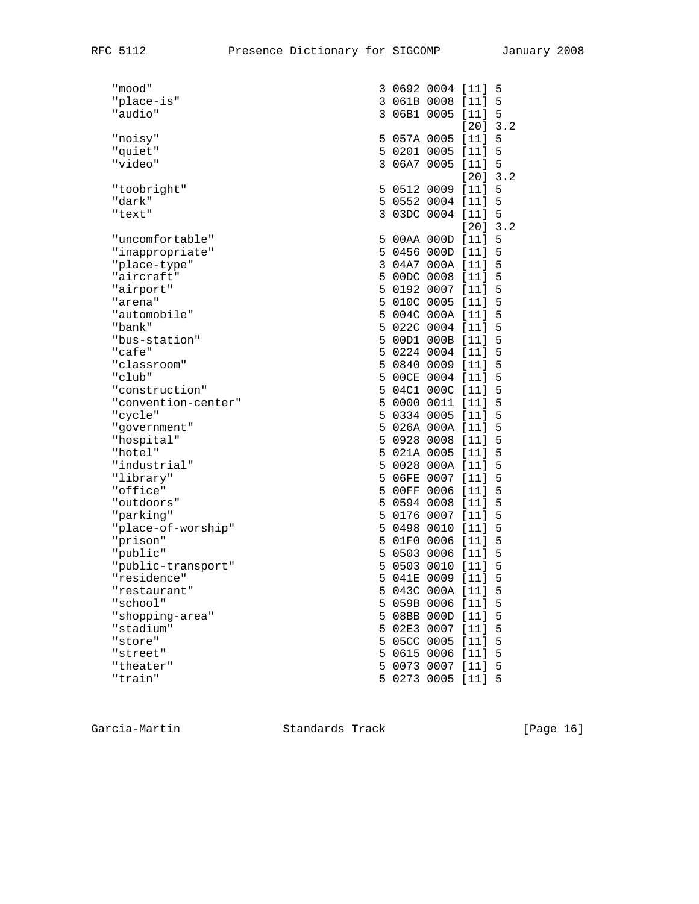| "mooa"                |  | 3 U69Z UUU4 [II]           |            | 5   |
|-----------------------|--|----------------------------|------------|-----|
| "place-is"            |  | 3 061B 0008 [11]           |            | 5   |
| "audio"               |  | 3 06B1 0005 [11]           |            | 5   |
|                       |  |                            | $[20]$     | 3.2 |
| "noisy"               |  | 5 057A 0005 [11] 5         |            |     |
| "quiet"               |  | 5 0201 0005 [11]           |            | 5   |
| "video"               |  | 3 06A7 0005 [11]           |            | 5   |
|                       |  |                            | $[20]$     | 3.2 |
| "toobright"           |  | 5 0512 0009 [11]           |            | - 5 |
| "dark"                |  | 5 0552 0004 [11]           |            | 5   |
| "text"                |  | 3 03DC 0004 [11] 5         |            |     |
|                       |  |                            | $[20]$ 3.2 |     |
|                       |  |                            |            | 5   |
| "uncomfortable"       |  | 5 00AA 000D [11]           |            | 5   |
| "inappropriate"       |  | 5 0456 000D [11]           |            |     |
| "place-type"          |  | 3 04A7 000A [11]           |            | 5   |
| "aircraft"            |  | 5 00DC 0008 [11]           |            | 5   |
| "airport"             |  | 5 0192 0007 [11]           |            | 5   |
| "arena"               |  | 5 010C 0005 [11]           |            | 5   |
| "automobile"          |  | 5 004C 000A [11]           |            | 5   |
| "bank"                |  | 5 022C 0004 [11]           |            | 5   |
| "bus-station"         |  | 5 00D1 000B [11]           |            | 5   |
| "cafe"                |  | 5 0224 0004 [11]           |            | 5   |
| "classroom"           |  | 5 0840 0009 [11]           |            | 5   |
| "club"                |  | 5 00CE 0004 [11]           |            | 5   |
| "construction"        |  | 5 04C1 000C [11]           |            | 5   |
| "convention-center"   |  | 5 0000 0011 [11]           |            | 5   |
| "cycle"               |  | 5 0334 0005 [11]           |            | 5   |
| "government"          |  | 5 026A 000A [11]           |            | 5   |
| "hospital"            |  | 5 0928 0008 [11]           |            | 5   |
| "hotel"               |  | 5 021A 0005 [11]           |            | 5   |
| "industrial"          |  | 5 0028 000A [11]           |            | 5   |
| "library"             |  | 5 06FE 0007 [11]           |            | 5   |
| "office"              |  | 5 00FF 0006 [11]           |            | 5   |
| "outdoors"            |  | 5 0594 0008 [11]           |            | 5   |
| "parking"             |  | 5 0176 0007 [11]           |            | 5   |
| "place-of-worship"    |  | 5 0498 0010 [11]           |            | 5   |
|                       |  | 5 01F0 0006 [11]           |            | 5   |
| "prison"              |  | 5 0503 0006 [11]           |            |     |
| "public"              |  |                            |            | 5   |
| "public-transport"    |  | 5 0503 0010 [11]           |            | 5   |
| "residence"           |  | 5 041E 0009 [11]           |            | 5   |
| "restaurant"          |  | 5 043C 000A [11]           |            | 5   |
| "school"              |  | 5 059B 0006 [11]           |            | 5   |
| "shopping-area"       |  | 5 08BB 000D [11]           |            | 5   |
| "stadium"             |  | 5 02E3 0007 [11]           |            | 5   |
| "store"               |  | 5 05CC 0005 [11]           |            | 5   |
| "street"              |  | 5 0615 0006 [11]           |            | 5   |
| "theater"             |  | 5 0073 0007 [11]           |            | 5   |
| 0 A - - - - - - - 0 - |  | $F$ $0.272$ $0.00F$ $111T$ |            |     |

| "mood"              |                | 3 0692 0004 [11] 5 |            |   |
|---------------------|----------------|--------------------|------------|---|
| "place-is"          |                | 3 061B 0008 [11]   |            | 5 |
| "audio"             | $\mathbf{3}$   | 06B1 0005 [11] 5   |            |   |
|                     |                |                    | [20] 3.2   |   |
| "noisy"             |                | 5 057A 0005 [11]   |            | 5 |
| "quiet"             |                | 5 0201 0005 [11]   |            | 5 |
| "video"             |                | 3 06A7 0005 [11] 5 |            |   |
|                     |                |                    | $[20]$ 3.2 |   |
| "toobright"         |                | 5 0512 0009 [11]   |            | 5 |
| "dark"              |                | 5 0552 0004 [11]   |            | 5 |
| "text"              |                | 3 03DC 0004 [11] 5 |            |   |
|                     |                |                    | $[20]$ 3.2 |   |
| "uncomfortable"     |                | 5 00AA 000D [11]   |            | 5 |
| "inappropriate"     |                | 5 0456 000D [11]   |            | 5 |
| "place-type"        |                | 3 04A7 000A [11]   |            | 5 |
| "aircraft"          |                | 5 00DC 0008 [11]   |            | 5 |
| "airport"           |                | 5 0192 0007 [11]   |            | 5 |
| "arena"             |                | 5 010C 0005 [11]   |            | 5 |
| "automobile"        |                | 5 004C 000A [11]   |            | 5 |
| "bank"              |                | 5 022C 0004 [11]   |            | 5 |
| "bus-station"       |                | 5 00D1 000B [11]   |            | 5 |
| "cafe"              |                | 5 0224 0004 [11]   |            | 5 |
| "classroom"         |                | 5 0840 0009 [11]   |            | 5 |
| "club"              |                | 5 00CE 0004 [11]   |            | 5 |
| "construction"      |                | 5 04C1 000C [11]   |            | 5 |
| "convention-center" |                | 5 0000 0011 [11]   |            | 5 |
| "cycle"             | 5 <sup>1</sup> | 0334 0005 [11]     |            | 5 |
| "government"        |                | 5 026A 000A [11]   |            | 5 |
| "hospital"          |                | 5 0928 0008 [11]   |            | 5 |
| "hotel"             |                | 5 021A 0005 [11]   |            | 5 |
| "industrial"        |                | 5 0028 000A [11]   |            | 5 |
| "library"           |                | 5 06FE 0007 [11]   |            | 5 |
| "office"            | 5              | 00FF 0006 [11]     |            | 5 |
| "outdoors"          |                | 5 0594 0008 [11]   |            | 5 |
| "parking"           |                | 5 0176 0007 [11]   |            | 5 |
| "place-of-worship"  |                | 5 0498 0010 [11]   |            | 5 |
| "prison"            |                | 5 01F0 0006 [11]   |            | 5 |
| "public"            |                | 5 0503 0006 [11]   |            | 5 |
| "public-transport"  | 5 <sup>1</sup> | 0503 0010 [11]     |            | 5 |
| "residence"         |                | 5 041E 0009 [11]   |            | 5 |
| "restaurant"        | 5              | 043C 000A [11]     |            | 5 |
| "school"            |                | 5 059B 0006 [11]   |            | 5 |
| "shopping-area"     |                | 5 08BB 000D [11]   |            | 5 |
| "stadium"           | 5              | 02E3 0007          | $[11]$     | 5 |
| "store"             | 5              | 05CC 0005          | $[11]$     | 5 |
| "street"            | 5              | 0615 0006          | $[11]$     | 5 |
| "theater"           |                | 5 0073 0007        | $[11]$     | 5 |
| "train"             | 5.             | 0273 0005          | $[11]$     | 5 |
|                     |                |                    |            |   |

Garcia-Martin Standards Track [Page 16]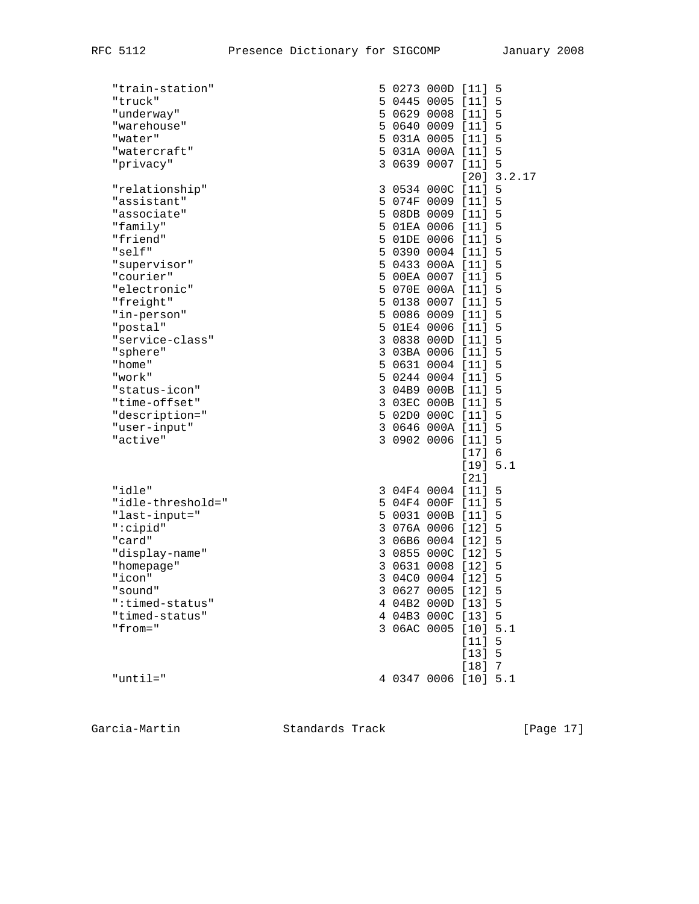| "train-station"   |             | 5 0273 000D [11]     |            | 5             |
|-------------------|-------------|----------------------|------------|---------------|
| "truck"           |             | 5 0445 0005 [11]     |            | 5             |
| "underway"        |             | 5 0629 0008 [11]     |            | 5             |
| "warehouse"       |             | 5 0640 0009 [11]     |            | 5             |
| "water"           |             | 5 031A 0005 [11] 5   |            |               |
| "watercraft"      |             | 5 031A 000A [11]     |            | 5             |
| "privacy"         |             | 3 0639 0007 [11] 5   |            |               |
|                   |             |                      |            | $[20]$ 3.2.17 |
| "relationship"    |             | 3 0534 000C [11] 5   |            |               |
| "assistant"       |             | 5 074F 0009 [11] 5   |            |               |
| "associate"       |             | 5 08DB 0009 [11] 5   |            |               |
| "family"          |             | 5 01EA 0006 [11]     |            | 5             |
| "friend"          |             | 5 01DE 0006 [11]     |            | 5             |
| "self"            |             | 5 0390 0004 [11]     |            | -5            |
| "supervisor"      |             | 5 0433 000A [11]     |            | 5             |
| "courier"         |             | 5 00EA 0007 [11]     |            | 5             |
| "electronic"      |             | 5 070E 000A [11]     |            | 5             |
| "freight"         |             | 5 0138 0007 [11]     |            | 5             |
| "in-person"       |             | 5 0086 0009 [11]     |            | 5             |
| "postal"          |             | 5 01E4 0006 [11]     |            | 5             |
| "service-class"   |             | 3 0838 000D [11]     |            | 5             |
| "sphere"          |             | 3 03BA 0006 [11]     |            | 5             |
| "home"            |             | 5 0631 0004 [11]     |            | 5             |
| "work"            |             | 5 0244 0004 [11]     |            | 5             |
| "status-icon"     |             | 3 04B9 000B [11]     |            | 5             |
| "time-offset"     |             | 3 03EC 000B [11]     |            | 5             |
| "description="    |             | 5 02D0 000C [11]     |            | 5             |
| "user-input"      |             | 3 0646 000A [11]     |            | 5             |
| "active"          |             | 3 0902 0006 [11] 5   |            |               |
|                   |             |                      | $[17] 6$   |               |
|                   |             |                      | [19] 5.1   |               |
|                   |             |                      | $[21]$     |               |
| "idle"            |             | 3 04F4 0004 [11]     |            | 5             |
| "idle-threshold=" |             | 5 04F4 000F [11]     |            | 5             |
| "last-input="     |             | 5 0031 000B [11]     |            | 5             |
| ":cipid"          |             | 3 076A 0006 [12]     |            | 5             |
| "card"            |             | 3 06B6 0004 [12]     |            | 5             |
| "display-name"    |             | 3 0855 000C [12]     |            | 5             |
| "homepage"        |             | 3 0631 0008 [12]     |            | 5             |
| "icon"            |             | 3 04C0 0004 [12]     |            | 5             |
| "sound"           | 3 0627 0005 |                      | $[12]$     | 5             |
| ":timed-status"   |             | 4 04B2 000D [13]     |            | 5             |
| "timed-status"    |             | 4 04B3 000C [13]     |            | 5             |
| $"from="$         | 3 06AC 0005 |                      | $[10]$ 5.1 |               |
|                   |             |                      | $[11]$     | 5             |
|                   |             |                      | $[13]$     | 5             |
|                   |             |                      | [18]       | 7             |
| "until="          |             | 4 0347 0006 [10] 5.1 |            |               |

Garcia-Martin Standards Track [Page 17]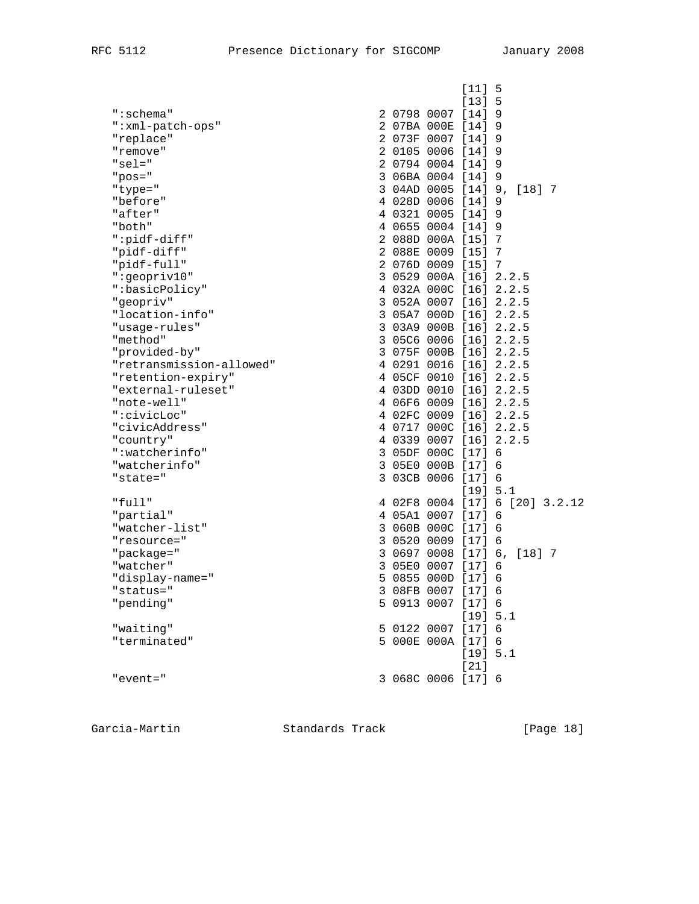|                          | $[11] 5$                       |
|--------------------------|--------------------------------|
| ":schema"                | [13] 5<br>2 0798 0007 [14] 9   |
| ":xml-patch-ops"         | 2 07BA 000E [14] 9             |
| "replace"                | 2 073F 0007 [14] 9             |
| "remove"                 | 2 0105 0006 [14] 9             |
| " $sel="$                | 2 0794 0004 [14] 9             |
| $"pos="$                 | 3 06BA 0004 [14] 9             |
| "type="                  | 3 04AD 0005 [14] 9, [18] 7     |
| "before"                 | 4 028D 0006 [14] 9             |
| "after"                  | 4 0321 0005 [14] 9             |
| "both"                   | 4 0655 0004 [14] 9             |
| ":pidf-diff"             | 2 088D 000A [15] 7             |
| "pidf-diff"              | 2 088E 0009 [15] 7             |
| "pidf-full"              | 2 076D 0009 [15] 7             |
| ":geopriv10"             | 3 0529 000A [16] 2.2.5         |
| ":basicPolicy"           | 4 032A 000C [16] 2.2.5         |
| "geopriv"                | 3 052A 0007 [16] 2.2.5         |
| "location-info"          | 3 05A7 000D [16] 2.2.5         |
| "usage-rules"            | 3 03A9 000B [16] 2.2.5         |
| "method"                 | 3 05C6 0006 [16] 2.2.5         |
| "provided-by"            | 3 075F 000B [16] 2.2.5         |
| "retransmission-allowed" | 4 0291 0016 [16] 2.2.5         |
| "retention-expiry"       | 4 05CF 0010 [16] 2.2.5         |
| "external-ruleset"       | 4 03DD 0010 [16] 2.2.5         |
| "note-well"              | 4 06F6 0009 [16] 2.2.5         |
| ":civicLoc"              | 4 02FC 0009 [16] 2.2.5         |
| "civicAddress"           | 4 0717 000C [16] 2.2.5         |
| "country"                | 4 0339 0007 [16] 2.2.5         |
| ":watcherinfo"           | 3 05DF 000C [17] 6             |
| "watcherinfo"            | 3 05E0 000B [17] 6             |
| "state="                 | 3 03CB 0006 [17] 6             |
|                          | [19] 5.1                       |
| "full"                   | 4 02F8 0004 [17] 6 [20] 3.2.12 |
| "partial"                | 4 05A1 0007 [17] 6             |
| "watcher-list"           | 3 060B 000C [17] 6             |
| "resource="              | 3 0520 0009 [17] 6             |
| "package="               | 3 0697 0008 [17] 6, [18] 7     |
| "watcher"                | 3 05E0 0007 [17] 6             |
| "display-name="          | 5 0855 000D [17] 6             |
| "status="                | 3 08FB 0007 [17] 6             |
| "pending"                | 5 0913 0007 [17] 6             |
|                          | [19] 5.1                       |
| "waiting"                | 5 0122 0007 [17] 6             |
| "terminated"             | 5 000E 000A [17] 6             |
|                          | [19] 5.1                       |
|                          | $[21]$                         |
| "event="                 | 3 068C 0006 [17] 6             |

Garcia-Martin Standards Track [Page 18]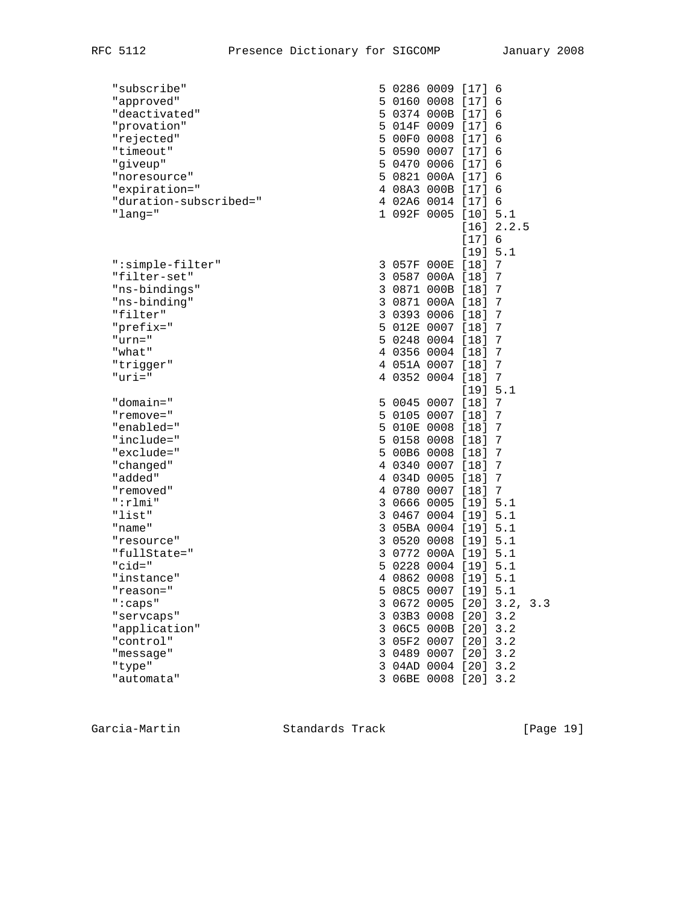| "subscribe"            |  | 5 0286 0009 [17] 6                           |          |            |  |
|------------------------|--|----------------------------------------------|----------|------------|--|
| "approved"             |  | 5 0160 0008 [17]                             |          | 6          |  |
| "deactivated"          |  | 5 0374 000B [17]                             |          | 6          |  |
| "provation"            |  | 5 014F 0009 [17]                             |          | 6          |  |
| "rejected"             |  | 5 00F0 0008 [17]                             |          | 6          |  |
| "timeout"              |  | 5 0590 0007 [17] 6                           |          |            |  |
| "giveup"               |  | 5 0470 0006 [17]                             |          | 6          |  |
| "noresource"           |  | 5 0821 000A [17]                             |          | 6          |  |
| "expiration="          |  | 4 08A3 000B [17]                             |          | 6          |  |
| "duration-subscribed=" |  | 4 02A6 0014 [17] 6                           |          |            |  |
| "lang="                |  | 1 092F 0005 [10] 5.1                         |          |            |  |
|                        |  |                                              |          | [16] 2.2.5 |  |
|                        |  |                                              | [17] 6   |            |  |
|                        |  |                                              | [19] 5.1 |            |  |
| ":simple-filter"       |  | 3 057F 000E [18]                             |          | 7          |  |
| "filter-set"           |  | 3 0587 000A [18]                             |          | 7          |  |
| "ns-bindings"          |  | 3 0871 000B [18]                             |          | 7          |  |
| "ns-binding"           |  | 3 0871 000A [18]                             |          | 7          |  |
| "filter"               |  | 3 0393 0006 [18]                             |          | 7          |  |
| "prefix="              |  | 5 012E 0007 [18]                             |          | 7          |  |
| "urn="                 |  | 5 0248 0004 [18]                             |          | 7          |  |
| "what"                 |  | 4 0356 0004 [18]                             |          | 7          |  |
| "trigger"              |  | 4 051A 0007 [18]                             |          | 7          |  |
| $"uri="$               |  | 4 0352 0004 [18] 7                           |          |            |  |
|                        |  |                                              | [19] 5.1 |            |  |
| "domain="              |  | 5 0045 0007 [18]                             |          | 7          |  |
| "remove="              |  | 5 0105 0007 [18]                             |          | 7          |  |
| "enabled="             |  | 5 010E 0008 [18]                             |          | 7          |  |
| "include="             |  | 5 0158 0008 [18]                             |          | 7          |  |
| "exclude="             |  | 5 00B6 0008 [18]                             |          | 7          |  |
| "changed"              |  | 4 0340 0007 [18]                             |          | 7          |  |
| "added"                |  | 4 034D 0005 [18]                             |          | 7          |  |
| "removed"              |  | 4 0780 0007 [18]                             |          | 7          |  |
| " :r1mi"               |  | 3 0666 0005 [19] 5.1                         |          |            |  |
| "list"                 |  | 3 0467 0004 [19] 5.1                         |          |            |  |
| "name"                 |  | 3 05BA 0004 [19] 5.1                         |          |            |  |
| "resource"             |  | 3 0520 0008 [19] 5.1                         |          |            |  |
| "fullState="           |  | 3 0772 000A [19] 5.1                         |          |            |  |
| "cid="                 |  | 5 0228 0004 [19] 5.1                         |          |            |  |
| "instance"             |  | 4 0862 0008 [19] 5.1                         |          |            |  |
| "reason="              |  | 5 08C5 0007 [19]                             |          | 5.1        |  |
|                        |  | 3 0672 0005 [20] 3.2, 3.3                    |          |            |  |
| ":caps"<br>"servcaps"  |  | 3 03B3 0008 [20] 3.2                         |          |            |  |
| "application"          |  | 3 06C5 000B [20] 3.2                         |          |            |  |
|                        |  |                                              |          |            |  |
| "control"              |  | 3 05F2 0007 [20] 3.2<br>3 0489 0007 [20] 3.2 |          |            |  |
| "message"              |  |                                              |          |            |  |
| "type"                 |  | 3 04AD 0004 [20] 3.2                         |          |            |  |
| "automata"             |  | 3 06BE 0008 [20] 3.2                         |          |            |  |

Garcia-Martin Standards Track [Page 19]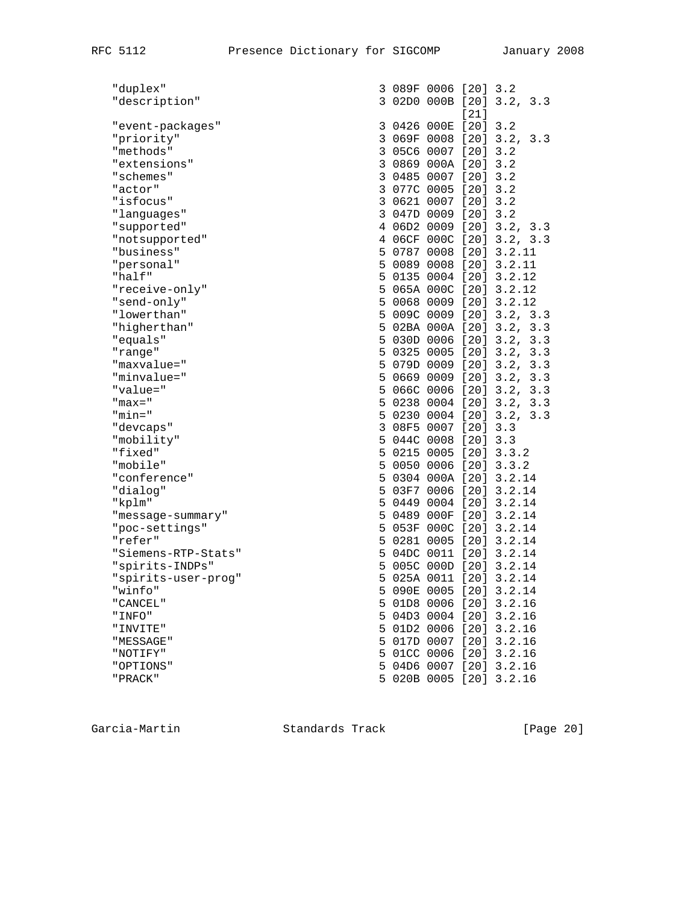| "duplex"            |                                                                                                                                                                                                                                                                                                                                                                                                                                                                   |  |                                                          |                                                                                                                                                                                                                                                                                                                                                                                                                                                                                                                                                                                                                                                                                                                                                                                                                                                                                                                                                                                                                                                                                                                                                                                                   |
|---------------------|-------------------------------------------------------------------------------------------------------------------------------------------------------------------------------------------------------------------------------------------------------------------------------------------------------------------------------------------------------------------------------------------------------------------------------------------------------------------|--|----------------------------------------------------------|---------------------------------------------------------------------------------------------------------------------------------------------------------------------------------------------------------------------------------------------------------------------------------------------------------------------------------------------------------------------------------------------------------------------------------------------------------------------------------------------------------------------------------------------------------------------------------------------------------------------------------------------------------------------------------------------------------------------------------------------------------------------------------------------------------------------------------------------------------------------------------------------------------------------------------------------------------------------------------------------------------------------------------------------------------------------------------------------------------------------------------------------------------------------------------------------------|
|                     |                                                                                                                                                                                                                                                                                                                                                                                                                                                                   |  |                                                          | 3.3                                                                                                                                                                                                                                                                                                                                                                                                                                                                                                                                                                                                                                                                                                                                                                                                                                                                                                                                                                                                                                                                                                                                                                                               |
|                     |                                                                                                                                                                                                                                                                                                                                                                                                                                                                   |  |                                                          |                                                                                                                                                                                                                                                                                                                                                                                                                                                                                                                                                                                                                                                                                                                                                                                                                                                                                                                                                                                                                                                                                                                                                                                                   |
|                     |                                                                                                                                                                                                                                                                                                                                                                                                                                                                   |  |                                                          |                                                                                                                                                                                                                                                                                                                                                                                                                                                                                                                                                                                                                                                                                                                                                                                                                                                                                                                                                                                                                                                                                                                                                                                                   |
|                     |                                                                                                                                                                                                                                                                                                                                                                                                                                                                   |  |                                                          |                                                                                                                                                                                                                                                                                                                                                                                                                                                                                                                                                                                                                                                                                                                                                                                                                                                                                                                                                                                                                                                                                                                                                                                                   |
|                     |                                                                                                                                                                                                                                                                                                                                                                                                                                                                   |  |                                                          |                                                                                                                                                                                                                                                                                                                                                                                                                                                                                                                                                                                                                                                                                                                                                                                                                                                                                                                                                                                                                                                                                                                                                                                                   |
|                     |                                                                                                                                                                                                                                                                                                                                                                                                                                                                   |  |                                                          |                                                                                                                                                                                                                                                                                                                                                                                                                                                                                                                                                                                                                                                                                                                                                                                                                                                                                                                                                                                                                                                                                                                                                                                                   |
|                     |                                                                                                                                                                                                                                                                                                                                                                                                                                                                   |  |                                                          |                                                                                                                                                                                                                                                                                                                                                                                                                                                                                                                                                                                                                                                                                                                                                                                                                                                                                                                                                                                                                                                                                                                                                                                                   |
|                     |                                                                                                                                                                                                                                                                                                                                                                                                                                                                   |  |                                                          |                                                                                                                                                                                                                                                                                                                                                                                                                                                                                                                                                                                                                                                                                                                                                                                                                                                                                                                                                                                                                                                                                                                                                                                                   |
|                     |                                                                                                                                                                                                                                                                                                                                                                                                                                                                   |  |                                                          |                                                                                                                                                                                                                                                                                                                                                                                                                                                                                                                                                                                                                                                                                                                                                                                                                                                                                                                                                                                                                                                                                                                                                                                                   |
|                     |                                                                                                                                                                                                                                                                                                                                                                                                                                                                   |  |                                                          |                                                                                                                                                                                                                                                                                                                                                                                                                                                                                                                                                                                                                                                                                                                                                                                                                                                                                                                                                                                                                                                                                                                                                                                                   |
|                     |                                                                                                                                                                                                                                                                                                                                                                                                                                                                   |  |                                                          |                                                                                                                                                                                                                                                                                                                                                                                                                                                                                                                                                                                                                                                                                                                                                                                                                                                                                                                                                                                                                                                                                                                                                                                                   |
|                     |                                                                                                                                                                                                                                                                                                                                                                                                                                                                   |  |                                                          |                                                                                                                                                                                                                                                                                                                                                                                                                                                                                                                                                                                                                                                                                                                                                                                                                                                                                                                                                                                                                                                                                                                                                                                                   |
|                     |                                                                                                                                                                                                                                                                                                                                                                                                                                                                   |  |                                                          |                                                                                                                                                                                                                                                                                                                                                                                                                                                                                                                                                                                                                                                                                                                                                                                                                                                                                                                                                                                                                                                                                                                                                                                                   |
|                     |                                                                                                                                                                                                                                                                                                                                                                                                                                                                   |  |                                                          |                                                                                                                                                                                                                                                                                                                                                                                                                                                                                                                                                                                                                                                                                                                                                                                                                                                                                                                                                                                                                                                                                                                                                                                                   |
|                     |                                                                                                                                                                                                                                                                                                                                                                                                                                                                   |  |                                                          |                                                                                                                                                                                                                                                                                                                                                                                                                                                                                                                                                                                                                                                                                                                                                                                                                                                                                                                                                                                                                                                                                                                                                                                                   |
|                     |                                                                                                                                                                                                                                                                                                                                                                                                                                                                   |  |                                                          |                                                                                                                                                                                                                                                                                                                                                                                                                                                                                                                                                                                                                                                                                                                                                                                                                                                                                                                                                                                                                                                                                                                                                                                                   |
|                     |                                                                                                                                                                                                                                                                                                                                                                                                                                                                   |  |                                                          |                                                                                                                                                                                                                                                                                                                                                                                                                                                                                                                                                                                                                                                                                                                                                                                                                                                                                                                                                                                                                                                                                                                                                                                                   |
|                     |                                                                                                                                                                                                                                                                                                                                                                                                                                                                   |  |                                                          |                                                                                                                                                                                                                                                                                                                                                                                                                                                                                                                                                                                                                                                                                                                                                                                                                                                                                                                                                                                                                                                                                                                                                                                                   |
|                     |                                                                                                                                                                                                                                                                                                                                                                                                                                                                   |  |                                                          |                                                                                                                                                                                                                                                                                                                                                                                                                                                                                                                                                                                                                                                                                                                                                                                                                                                                                                                                                                                                                                                                                                                                                                                                   |
|                     |                                                                                                                                                                                                                                                                                                                                                                                                                                                                   |  |                                                          |                                                                                                                                                                                                                                                                                                                                                                                                                                                                                                                                                                                                                                                                                                                                                                                                                                                                                                                                                                                                                                                                                                                                                                                                   |
|                     |                                                                                                                                                                                                                                                                                                                                                                                                                                                                   |  |                                                          | 3.3                                                                                                                                                                                                                                                                                                                                                                                                                                                                                                                                                                                                                                                                                                                                                                                                                                                                                                                                                                                                                                                                                                                                                                                               |
|                     |                                                                                                                                                                                                                                                                                                                                                                                                                                                                   |  |                                                          | 3.3                                                                                                                                                                                                                                                                                                                                                                                                                                                                                                                                                                                                                                                                                                                                                                                                                                                                                                                                                                                                                                                                                                                                                                                               |
|                     |                                                                                                                                                                                                                                                                                                                                                                                                                                                                   |  |                                                          | 3.3                                                                                                                                                                                                                                                                                                                                                                                                                                                                                                                                                                                                                                                                                                                                                                                                                                                                                                                                                                                                                                                                                                                                                                                               |
|                     |                                                                                                                                                                                                                                                                                                                                                                                                                                                                   |  |                                                          |                                                                                                                                                                                                                                                                                                                                                                                                                                                                                                                                                                                                                                                                                                                                                                                                                                                                                                                                                                                                                                                                                                                                                                                                   |
|                     |                                                                                                                                                                                                                                                                                                                                                                                                                                                                   |  |                                                          |                                                                                                                                                                                                                                                                                                                                                                                                                                                                                                                                                                                                                                                                                                                                                                                                                                                                                                                                                                                                                                                                                                                                                                                                   |
|                     |                                                                                                                                                                                                                                                                                                                                                                                                                                                                   |  |                                                          |                                                                                                                                                                                                                                                                                                                                                                                                                                                                                                                                                                                                                                                                                                                                                                                                                                                                                                                                                                                                                                                                                                                                                                                                   |
|                     |                                                                                                                                                                                                                                                                                                                                                                                                                                                                   |  |                                                          | 3.3                                                                                                                                                                                                                                                                                                                                                                                                                                                                                                                                                                                                                                                                                                                                                                                                                                                                                                                                                                                                                                                                                                                                                                                               |
|                     |                                                                                                                                                                                                                                                                                                                                                                                                                                                                   |  |                                                          |                                                                                                                                                                                                                                                                                                                                                                                                                                                                                                                                                                                                                                                                                                                                                                                                                                                                                                                                                                                                                                                                                                                                                                                                   |
|                     |                                                                                                                                                                                                                                                                                                                                                                                                                                                                   |  |                                                          |                                                                                                                                                                                                                                                                                                                                                                                                                                                                                                                                                                                                                                                                                                                                                                                                                                                                                                                                                                                                                                                                                                                                                                                                   |
|                     |                                                                                                                                                                                                                                                                                                                                                                                                                                                                   |  |                                                          |                                                                                                                                                                                                                                                                                                                                                                                                                                                                                                                                                                                                                                                                                                                                                                                                                                                                                                                                                                                                                                                                                                                                                                                                   |
|                     |                                                                                                                                                                                                                                                                                                                                                                                                                                                                   |  |                                                          |                                                                                                                                                                                                                                                                                                                                                                                                                                                                                                                                                                                                                                                                                                                                                                                                                                                                                                                                                                                                                                                                                                                                                                                                   |
|                     |                                                                                                                                                                                                                                                                                                                                                                                                                                                                   |  |                                                          |                                                                                                                                                                                                                                                                                                                                                                                                                                                                                                                                                                                                                                                                                                                                                                                                                                                                                                                                                                                                                                                                                                                                                                                                   |
|                     |                                                                                                                                                                                                                                                                                                                                                                                                                                                                   |  |                                                          |                                                                                                                                                                                                                                                                                                                                                                                                                                                                                                                                                                                                                                                                                                                                                                                                                                                                                                                                                                                                                                                                                                                                                                                                   |
|                     |                                                                                                                                                                                                                                                                                                                                                                                                                                                                   |  |                                                          |                                                                                                                                                                                                                                                                                                                                                                                                                                                                                                                                                                                                                                                                                                                                                                                                                                                                                                                                                                                                                                                                                                                                                                                                   |
| "message-summary"   |                                                                                                                                                                                                                                                                                                                                                                                                                                                                   |  |                                                          |                                                                                                                                                                                                                                                                                                                                                                                                                                                                                                                                                                                                                                                                                                                                                                                                                                                                                                                                                                                                                                                                                                                                                                                                   |
| "poc-settings"      |                                                                                                                                                                                                                                                                                                                                                                                                                                                                   |  |                                                          |                                                                                                                                                                                                                                                                                                                                                                                                                                                                                                                                                                                                                                                                                                                                                                                                                                                                                                                                                                                                                                                                                                                                                                                                   |
|                     |                                                                                                                                                                                                                                                                                                                                                                                                                                                                   |  |                                                          |                                                                                                                                                                                                                                                                                                                                                                                                                                                                                                                                                                                                                                                                                                                                                                                                                                                                                                                                                                                                                                                                                                                                                                                                   |
| "Siemens-RTP-Stats" |                                                                                                                                                                                                                                                                                                                                                                                                                                                                   |  |                                                          |                                                                                                                                                                                                                                                                                                                                                                                                                                                                                                                                                                                                                                                                                                                                                                                                                                                                                                                                                                                                                                                                                                                                                                                                   |
| "spirits-INDPs"     |                                                                                                                                                                                                                                                                                                                                                                                                                                                                   |  |                                                          |                                                                                                                                                                                                                                                                                                                                                                                                                                                                                                                                                                                                                                                                                                                                                                                                                                                                                                                                                                                                                                                                                                                                                                                                   |
| "spirits-user-prog" |                                                                                                                                                                                                                                                                                                                                                                                                                                                                   |  |                                                          |                                                                                                                                                                                                                                                                                                                                                                                                                                                                                                                                                                                                                                                                                                                                                                                                                                                                                                                                                                                                                                                                                                                                                                                                   |
| "winfo"             |                                                                                                                                                                                                                                                                                                                                                                                                                                                                   |  |                                                          |                                                                                                                                                                                                                                                                                                                                                                                                                                                                                                                                                                                                                                                                                                                                                                                                                                                                                                                                                                                                                                                                                                                                                                                                   |
| " CANCEL "          |                                                                                                                                                                                                                                                                                                                                                                                                                                                                   |  |                                                          |                                                                                                                                                                                                                                                                                                                                                                                                                                                                                                                                                                                                                                                                                                                                                                                                                                                                                                                                                                                                                                                                                                                                                                                                   |
| "INFO"              |                                                                                                                                                                                                                                                                                                                                                                                                                                                                   |  |                                                          | 3.2.16                                                                                                                                                                                                                                                                                                                                                                                                                                                                                                                                                                                                                                                                                                                                                                                                                                                                                                                                                                                                                                                                                                                                                                                            |
| " INVITE"           |                                                                                                                                                                                                                                                                                                                                                                                                                                                                   |  |                                                          | 3.2.16                                                                                                                                                                                                                                                                                                                                                                                                                                                                                                                                                                                                                                                                                                                                                                                                                                                                                                                                                                                                                                                                                                                                                                                            |
| "MESSAGE"           |                                                                                                                                                                                                                                                                                                                                                                                                                                                                   |  |                                                          | 3.2.16                                                                                                                                                                                                                                                                                                                                                                                                                                                                                                                                                                                                                                                                                                                                                                                                                                                                                                                                                                                                                                                                                                                                                                                            |
| "NOTIFY"            |                                                                                                                                                                                                                                                                                                                                                                                                                                                                   |  |                                                          | 3.2.16                                                                                                                                                                                                                                                                                                                                                                                                                                                                                                                                                                                                                                                                                                                                                                                                                                                                                                                                                                                                                                                                                                                                                                                            |
| "OPTIONS"           |                                                                                                                                                                                                                                                                                                                                                                                                                                                                   |  |                                                          | 3.2.16                                                                                                                                                                                                                                                                                                                                                                                                                                                                                                                                                                                                                                                                                                                                                                                                                                                                                                                                                                                                                                                                                                                                                                                            |
| "PRACK"             |                                                                                                                                                                                                                                                                                                                                                                                                                                                                   |  |                                                          | $[20]$ 3.2.16                                                                                                                                                                                                                                                                                                                                                                                                                                                                                                                                                                                                                                                                                                                                                                                                                                                                                                                                                                                                                                                                                                                                                                                     |
|                     | "description"<br>"event-packages"<br>"priority"<br>"methods"<br>"extensions"<br>"schemes"<br>"actor"<br>"isfocus"<br>"languages"<br>"supported"<br>"notsupported"<br>"business"<br>"personal"<br>"half"<br>"receive-only"<br>"send-only"<br>"lowerthan"<br>"higherthan"<br>"equals"<br>"range"<br>"maxvalue="<br>"minvalue="<br>"value="<br>$"max="$<br>"min="<br>"devcaps"<br>"mobility"<br>"fixed"<br>"mobile"<br>"conference"<br>"dialog"<br>"kplm"<br>"refer" |  | 5 04D3 0004<br>5 01CC 0006<br>5 04D6 0007<br>5 020B 0005 | 3 089F 0006 [20] 3.2<br>3 02D0 000B [20] 3.2,<br>$[21]$<br>3 0426 000E [20] 3.2<br>3 069F 0008 [20] 3.2, 3.3<br>3 05C6 0007 [20] 3.2<br>3 0869 000A [20] 3.2<br>3 0485 0007 [20] 3.2<br>3 077C 0005 [20] 3.2<br>3 0621 0007 [20] 3.2<br>3 047D 0009 [20] 3.2<br>4 06D2 0009 [20] 3.2, 3.3<br>4 06CF 000C [20] 3.2, 3.3<br>5 0787 0008 [20] 3.2.11<br>5 0089 0008 [20] 3.2.11<br>5 0135 0004 [20] 3.2.12<br>5 065A 000C [20] 3.2.12<br>5 0068 0009 [20] 3.2.12<br>5 009C 0009 [20] 3.2, 3.3<br>5 02BA 000A [20] 3.2, 3.3<br>5 030D 0006 [20] 3.2,<br>5 0325 0005 [20] 3.2,<br>5 079D 0009 [20] 3.2,<br>5 0669 0009 [20] 3.2, 3.3<br>5 066C 0006 [20] 3.2, 3.3<br>5 0238 0004 [20] 3.2, 3.3<br>5 0230 0004 [20] 3.2,<br>3 08F5 0007 [20] 3.3<br>5 044C 0008 [20] 3.3<br>5 0215 0005 [20] 3.3.2<br>5 0050 0006 [20] 3.3.2<br>5 0304 000A [20] 3.2.14<br>5 03F7 0006 [20] 3.2.14<br>5 0449 0004 [20] 3.2.14<br>5 0489 000F [20] 3.2.14<br>5 053F 000C [20] 3.2.14<br>5 0281 0005 [20] 3.2.14<br>5 04DC 0011 [20] 3.2.14<br>5 005C 000D [20] 3.2.14<br>5 025A 0011 [20] 3.2.14<br>5 090E 0005 [20] 3.2.14<br>5 01D8 0006 [20] 3.2.16<br>$[20]$<br>5 01D2 0006 [20]<br>5 017D 0007 [20]<br>[20]<br>[20] |

Garcia-Martin Standards Track [Page 20]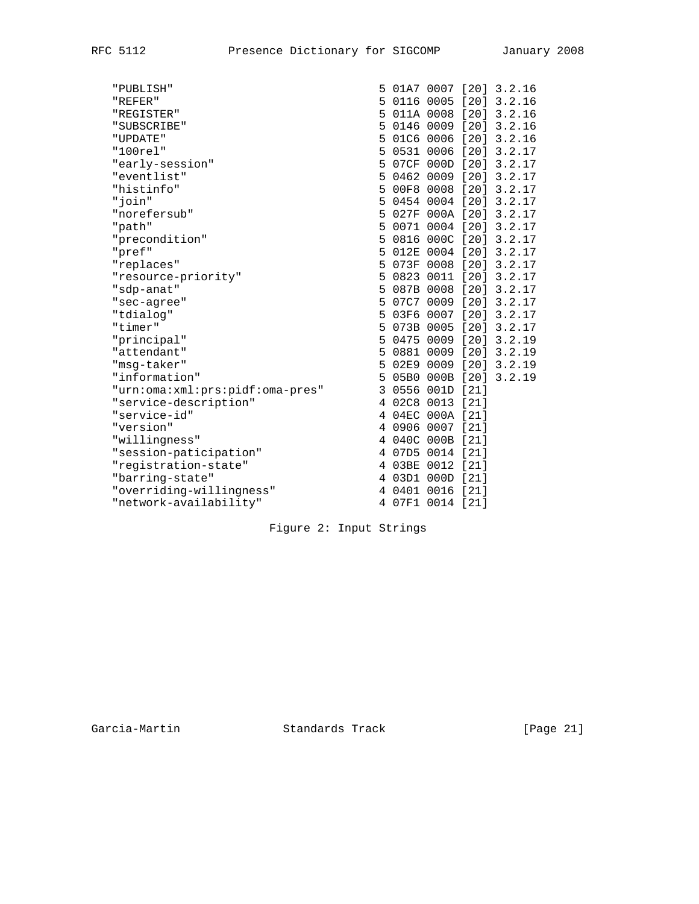| "PUBLISH"                       |   |                  |  | 5 01A7 0007 [20] 3.2.16 |
|---------------------------------|---|------------------|--|-------------------------|
| "REFER"                         |   |                  |  | 5 0116 0005 [20] 3.2.16 |
| "REGISTER"                      |   |                  |  | 5 011A 0008 [20] 3.2.16 |
| "SUBSCRIBE"                     |   |                  |  | 5 0146 0009 [20] 3.2.16 |
| "UPDATE"                        |   |                  |  | 5 01C6 0006 [20] 3.2.16 |
| "100rel"                        |   |                  |  | 5 0531 0006 [20] 3.2.17 |
| "early-session"                 |   |                  |  | 5 07CF 000D [20] 3.2.17 |
| "eventlist"                     |   |                  |  | 5 0462 0009 [20] 3.2.17 |
| "histinfo"                      |   |                  |  | 5 00F8 0008 [20] 3.2.17 |
| "join"                          |   |                  |  | 5 0454 0004 [20] 3.2.17 |
| "norefersub"                    |   |                  |  | 5 027F 000A [20] 3.2.17 |
| "path"                          |   |                  |  | 5 0071 0004 [20] 3.2.17 |
| "precondition"                  |   |                  |  | 5 0816 000C [20] 3.2.17 |
| "pref"                          |   |                  |  | 5 012E 0004 [20] 3.2.17 |
| "replaces"                      |   |                  |  | 5 073F 0008 [20] 3.2.17 |
| "resource-priority"             |   |                  |  | 5 0823 0011 [20] 3.2.17 |
| "sdp-anat"                      |   |                  |  | 5 087B 0008 [20] 3.2.17 |
| "sec-agree"                     | 5 |                  |  | 07C7 0009 [20] 3.2.17   |
| "tdialog"                       |   |                  |  | 5 03F6 0007 [20] 3.2.17 |
| "timer"                         |   |                  |  | 5 073B 0005 [20] 3.2.17 |
| "principal"                     |   |                  |  | 5 0475 0009 [20] 3.2.19 |
| "attendant"                     |   |                  |  | 5 0881 0009 [20] 3.2.19 |
| "msg-taker"                     |   |                  |  | 5 02E9 0009 [20] 3.2.19 |
| "information"                   |   |                  |  | 5 05B0 000B [20] 3.2.19 |
| "urn:oma:xml:prs:pidf:oma-pres" |   | 3 0556 001D [21] |  |                         |
| "service-description"           |   | 4 02C8 0013 [21] |  |                         |
| "service-id"                    |   | 4 04EC 000A [21] |  |                         |
| "version"                       |   | 4 0906 0007 [21] |  |                         |
| "willingness"                   |   | 4 040C 000B [21] |  |                         |
| "session-paticipation"          |   | 4 07D5 0014 [21] |  |                         |
| "registration-state"            |   | 4 03BE 0012 [21] |  |                         |
| "barring-state"                 |   | 4 03D1 000D [21] |  |                         |
| "overriding-willingness"        |   | 4 0401 0016 [21] |  |                         |
| "network-availability"          |   | 4 07F1 0014 [21] |  |                         |
|                                 |   |                  |  |                         |

Figure 2: Input Strings

Garcia-Martin **Standards Track** [Page 21]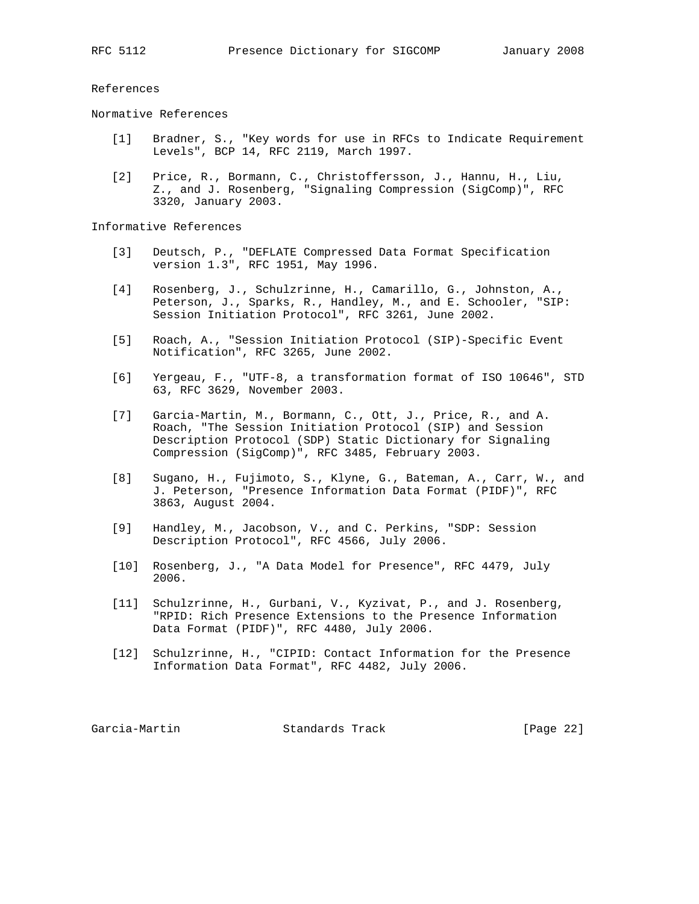References

Normative References

- [1] Bradner, S., "Key words for use in RFCs to Indicate Requirement Levels", BCP 14, RFC 2119, March 1997.
- [2] Price, R., Bormann, C., Christoffersson, J., Hannu, H., Liu, Z., and J. Rosenberg, "Signaling Compression (SigComp)", RFC 3320, January 2003.

Informative References

- [3] Deutsch, P., "DEFLATE Compressed Data Format Specification version 1.3", RFC 1951, May 1996.
	- [4] Rosenberg, J., Schulzrinne, H., Camarillo, G., Johnston, A., Peterson, J., Sparks, R., Handley, M., and E. Schooler, "SIP: Session Initiation Protocol", RFC 3261, June 2002.
	- [5] Roach, A., "Session Initiation Protocol (SIP)-Specific Event Notification", RFC 3265, June 2002.
	- [6] Yergeau, F., "UTF-8, a transformation format of ISO 10646", STD 63, RFC 3629, November 2003.
	- [7] Garcia-Martin, M., Bormann, C., Ott, J., Price, R., and A. Roach, "The Session Initiation Protocol (SIP) and Session Description Protocol (SDP) Static Dictionary for Signaling Compression (SigComp)", RFC 3485, February 2003.
	- [8] Sugano, H., Fujimoto, S., Klyne, G., Bateman, A., Carr, W., and J. Peterson, "Presence Information Data Format (PIDF)", RFC 3863, August 2004.
	- [9] Handley, M., Jacobson, V., and C. Perkins, "SDP: Session Description Protocol", RFC 4566, July 2006.
	- [10] Rosenberg, J., "A Data Model for Presence", RFC 4479, July 2006.
	- [11] Schulzrinne, H., Gurbani, V., Kyzivat, P., and J. Rosenberg, "RPID: Rich Presence Extensions to the Presence Information Data Format (PIDF)", RFC 4480, July 2006.
	- [12] Schulzrinne, H., "CIPID: Contact Information for the Presence Information Data Format", RFC 4482, July 2006.

Garcia-Martin **Standards Track** [Page 22]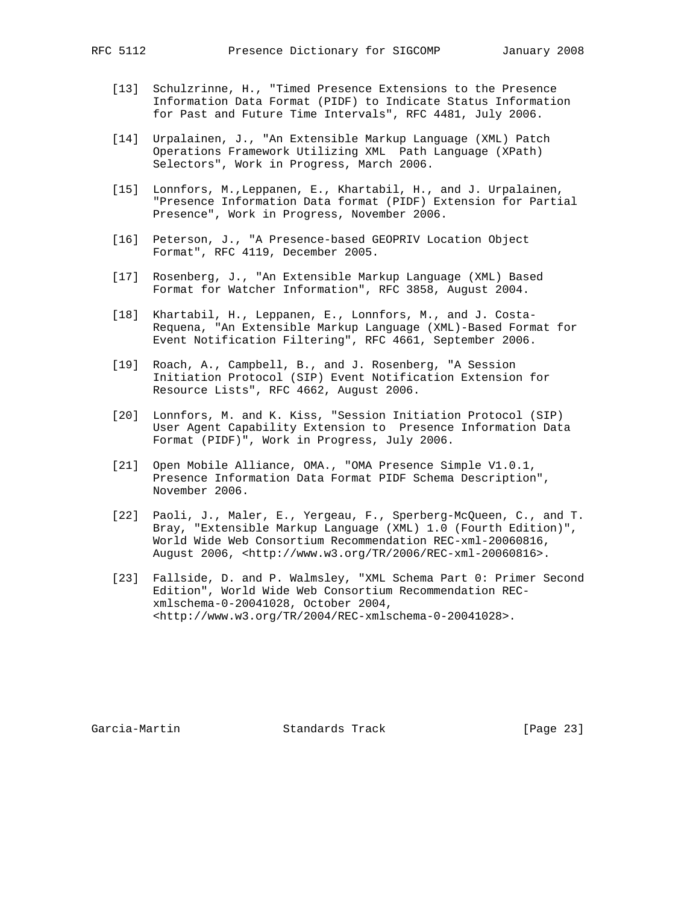- [13] Schulzrinne, H., "Timed Presence Extensions to the Presence Information Data Format (PIDF) to Indicate Status Information for Past and Future Time Intervals", RFC 4481, July 2006.
- [14] Urpalainen, J., "An Extensible Markup Language (XML) Patch Operations Framework Utilizing XML Path Language (XPath) Selectors", Work in Progress, March 2006.
- [15] Lonnfors, M.,Leppanen, E., Khartabil, H., and J. Urpalainen, "Presence Information Data format (PIDF) Extension for Partial Presence", Work in Progress, November 2006.
- [16] Peterson, J., "A Presence-based GEOPRIV Location Object Format", RFC 4119, December 2005.
- [17] Rosenberg, J., "An Extensible Markup Language (XML) Based Format for Watcher Information", RFC 3858, August 2004.
- [18] Khartabil, H., Leppanen, E., Lonnfors, M., and J. Costa- Requena, "An Extensible Markup Language (XML)-Based Format for Event Notification Filtering", RFC 4661, September 2006.
- [19] Roach, A., Campbell, B., and J. Rosenberg, "A Session Initiation Protocol (SIP) Event Notification Extension for Resource Lists", RFC 4662, August 2006.
- [20] Lonnfors, M. and K. Kiss, "Session Initiation Protocol (SIP) User Agent Capability Extension to Presence Information Data Format (PIDF)", Work in Progress, July 2006.
- [21] Open Mobile Alliance, OMA., "OMA Presence Simple V1.0.1, Presence Information Data Format PIDF Schema Description", November 2006.
- [22] Paoli, J., Maler, E., Yergeau, F., Sperberg-McQueen, C., and T. Bray, "Extensible Markup Language (XML) 1.0 (Fourth Edition)", World Wide Web Consortium Recommendation REC-xml-20060816, August 2006, <http://www.w3.org/TR/2006/REC-xml-20060816>.
- [23] Fallside, D. and P. Walmsley, "XML Schema Part 0: Primer Second Edition", World Wide Web Consortium Recommendation REC xmlschema-0-20041028, October 2004, <http://www.w3.org/TR/2004/REC-xmlschema-0-20041028>.

Garcia-Martin Standards Track [Page 23]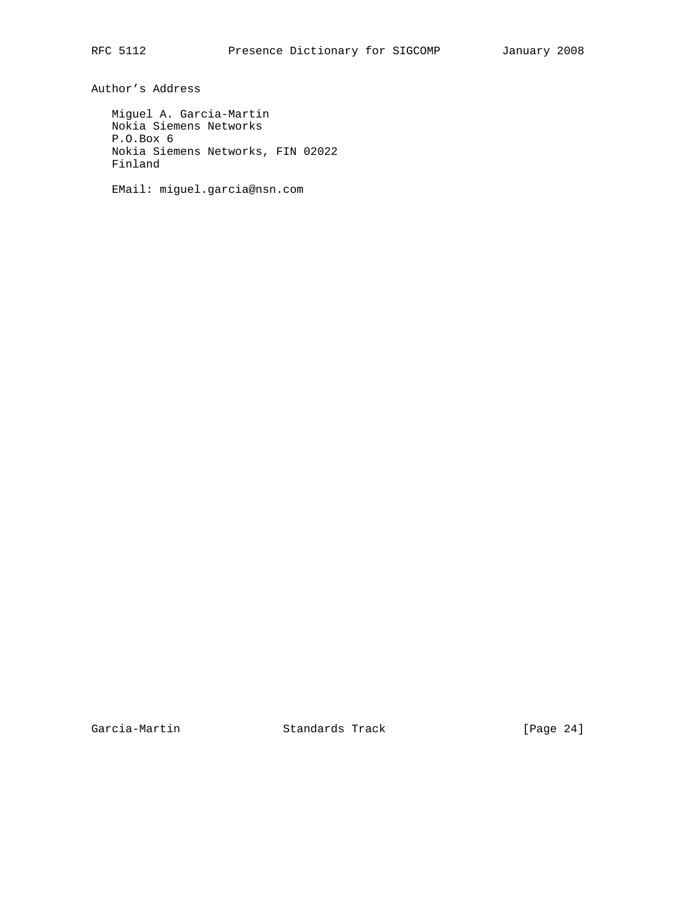Author's Address

 Miguel A. Garcia-Martin Nokia Siemens Networks P.O.Box 6 Nokia Siemens Networks, FIN 02022 Finland

EMail: miguel.garcia@nsn.com

Garcia-Martin Standards Track [Page 24]